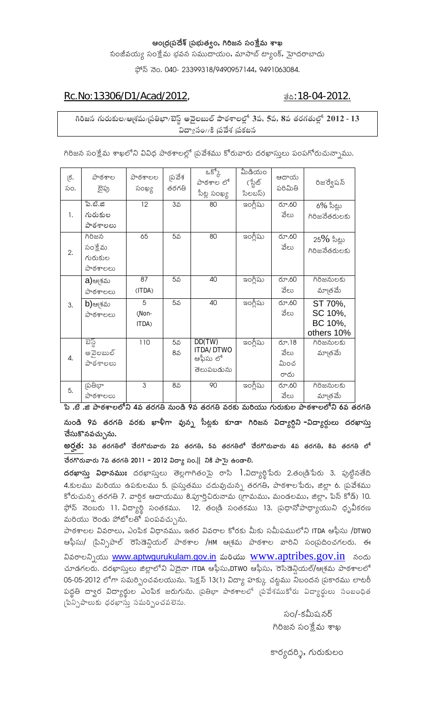#### ఆండ్ర(ఫదేశ్ డ్రభుత్వం, గిరిజన సంక్షేమ శాఖ

సంజీవయ్య సంక్షేమ భవన సముదాయం**,** మాసాబ్ ట్యాంక్**,** హైదరాబాదు

ఫోన్ నెం. 040- 23399318/9490957144, 9491063084.

### <u>Rc.No:13306/D1/Acad/2012,</u>  $\underline{\vec{v}}$  is the set of  $\underline{\vec{v}}$ :18-04-2012.

గిరిజన గురుకుల/ఆ<sub>(</sub>శమ/బ్రతిభా/బెస్ట్ అవైలబుల్ పాఠశాలల్లో 3వ, 5వ, 8వ తరగతుల్లో 2012 - 13 **− μyùxqsLi//NTP úxms®ªs[aRP úxmsNRPÈÁ©«s**

గిరిజన సంక్షేమ శాఖలోని వివిధ పాఠశాలల్లో |పవేశము కోరువారు దరఖాస్తులు పంపగోరుచున్నాము.

| క్.<br>సం. | <u> ನ</u> ೌಠశాల<br>టైపు                          | <u> ವಾ</u> ಠశాలల<br>సంఖ్య | ∣పవేశ<br>తరగతి | $25^{\circ}$<br>పాఠశాల లో<br>సీట్ల సంఖ్య      | మీడియం<br>(స్టేట్<br>సిలబస్) | ఆదాయ<br>పరిమితి               | రిజర్వేషన్                                  |
|------------|--------------------------------------------------|---------------------------|----------------|-----------------------------------------------|------------------------------|-------------------------------|---------------------------------------------|
| 1.         | పి.టి.జి<br>గురుకుల<br>పాఠశాలలు                  | 12                        | 35             | 80                                            | ఇంగ్లీషు                     | రూ.60<br>వేలు                 | $6\%$ సీట్లు<br>గిరిజనేతరులకు               |
| 2.         | గిరిజన<br>సంక్షేమ<br>గురుకుల<br><u> ವಾಠಕಾಲಲು</u> | 65                        | 5వ             | 80                                            | ఇంగ్లీషు                     | రూ.60<br>వేలు                 | 25% సీట్లు<br>గిరిజనేతరులకు                 |
|            | a)ఆశమ<br>పాఠశాలలు                                | 87<br>(ITDA)              | 5వ             | 40                                            | ఇంగ్లీషు                     | రూ.60<br>వేలు                 | గిరిజనులకు<br>మాౖతమే                        |
| 3.         | <b>b</b> )ఆశమ<br><u> ವ</u> ಾಠశాలలు               | 5<br>(Non-<br>ITDA)       | 5వ             | 40                                            | ఇంగ్లీషు                     | రూ.60<br>వేలు                 | ST 70%,<br>SC 10%,<br>BC 10%,<br>others 10% |
| 4.         | ಪಸ್ಥ<br>అవైలబుల్<br>పాఠశాలలు                     | 110                       | 5వ<br>8వ       | DD(TW)<br>ITDA/DTWO<br>ఆఫీసు లో<br>తెలుపబడును | ఇంగ్లీషు                     | రూ.18<br>వేలు<br>మించ<br>రాదు | గిరిజనులకు<br>మాౖతమే                        |
| 5.         | గ్దుతీభా<br><u> ನ</u> ೌಠశాలలు                    | 3                         | 85             | 90                                            | ఇంగ్లీషు                     | రూ.60<br>వేలు                 | గిరిజనులకు<br>మాౖతమే                        |

పి .టి .జి పాఠశాలలోని 4వ తరగతి నుండి 9వ తరగతి వరకు మరియు గురుకుల పాఠశాలలోని 6వ తరగతి

**©«sVLi²T¶ 9ª«s »R½LRigRi¼½ ª«sLRiNRPV ÆØ×dÁgS ª«so©«sõ {qsÈýÁNRPV NRPW²y gjiLjiÇÁ©«s − μyùLôji¬ss--− μyùLôRiVÌÁV μR¶LRiÆØxqsVò**  చేసుకొనవచ్చును.

ఆర్హత: 3వ తరగతిలో చేరగొరువారు 2వ తరగతి, 5వ తరగతిలో చేరగొరువారు 4వ తరగతి, 8వ తరగతి లో  $\vec{a}$ ර්රිෆීරාක්රා 7వ తరగతి 2011 - 2012 విద్యా సం.|| నికి పాసై ఉండాలి.

**దరఖాస్తు విధానముః** దరఖాస్తులు తెల్లగాగితంపై రాసి 1.విద్యార్థిపేరు 2.తం౹డిపేరు 3. పుట్టినతేది 4.కులము మరియు ఉపకులము 5. <sub>l</sub>పస్తుతము చదువుచున్న తరగతి, పాఠశాల<sup>-</sup>పేరు, జిల్లా 6. <sub>l</sub>పవేశము కోరుచున్న తరగతి 7. వార్షిక ఆదాయము 8.పూర్తిచిరునామ (గ్రామము, మండలము, జిల్లా, పిన్ కోడ్) 10. ఫోన్ నెంబరు 11. విద్యార్థి సంతకము. 12. తండ్రి సంతకము 13. ప్రధానోపాధ్యాయుని ధృవీకరణ మరియు రెండు పోటోలతో పంపవచ్చును.

హేఠశాలల వివరాలు, ఎంపిక విధానము, ఇతర వివరాల కోరకు మీకు సమీపములోని ITDA ఆఫీసు /DTWO ఆఫీసు/ [పిన్సిపాల్ రెసిడెన్షియల్ పాఠశాల /HM ఆగ్రమ పాఠశాల వారిని సం[పదించగలరు. ఈ వివరాలన్నియు <u>[www.aptwgurukulam.gov.in](http://www.aptwgurukulam.gov.in/)</u> మరియు <u>WWW.aptribes.gov.in</u> నందు మాడగలరు. దరఖాస్తులు జిల్లాలోని ఏదైనా ITDA ఆఫీసు,DTWO ఆఫీసు, రెసిడెన్షియల్/ఆశ్రమ పాఠశాలలో 05-05-2012 లోగా సమర్పించవలయును. సెక్షన్ 13(1) విద్యా హక్కు చట్టము నిబందన <sub>l</sub>పకారము లాటరీ పద్ధతి ద్వార విద్యార్థుల ఎంపిక జరుగును. [పతిభా పాఠశాలలో [పవేశముకోరు విద్యార్థులు సంబంధిత టిన్సిపాలుకు ధరఖాస్తు సమర్పించవలెను.

> సం/-కమీషనర్ గిరిజన సంక్షేమ శాఖ

కార్యదర్శి, గురుకులం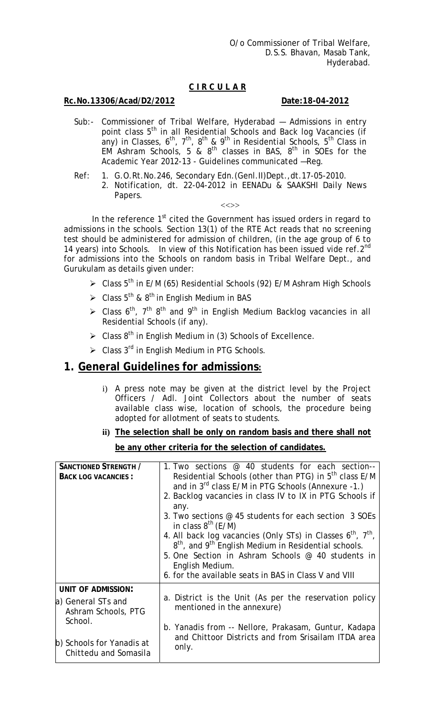# **C I R C U L A R**

# **Rc.No.13306/Acad/D2/2012 Date:18-04-2012**

- Sub:- Commissioner of Tribal Welfare, Hyderabad Admissions in entry point class 5<sup>th</sup> in all Residential Schools and Back log Vacancies (if any) in Classes, 6<sup>th</sup>, 7<sup>th</sup>, 8<sup>th</sup> & 9<sup>th</sup> in Residential Schools, 5<sup>th</sup> Class in EM Ashram Schools, 5 &  $8<sup>th</sup>$  classes in BAS,  $8<sup>th</sup>$  in SOEs for the Academic Year 2012-13 - Guidelines communicated —Reg.
- Ref: 1. G.O.Rt.No.246, Secondary Edn.(Genl.II)Dept.,dt.17-05-2010.
	- 2. Notification, dt. 22-04-2012 in EENADu & SAAKSHI Daily News Papers.

#### $\langle \langle \rangle \rangle$

In the reference  $1<sup>st</sup>$  cited the Government has issued orders in regard to admissions in the schools. Section 13(1) of the RTE Act reads that no screening test should be administered for admission of children, (in the age group of 6 to 14 years) into Schools. In view of this Notification has been issued vide ref.2<sup>nd</sup> for admissions into the Schools on random basis in Tribal Welfare Dept., and Gurukulam as details given under:

- $\triangleright$  Class 5<sup>th</sup> in E/M (65) Residential Schools (92) E/M Ashram High Schools
- $\geq$  Class 5<sup>th</sup> & 8<sup>th</sup> in English Medium in BAS
- $\geq$  Class 6<sup>th</sup>, 7<sup>th</sup> 8<sup>th</sup> and 9<sup>th</sup> in English Medium Backlog vacancies in all Residential Schools (if any).
- $\geq$  Class 8<sup>th</sup> in English Medium in (3) Schools of Excellence.
- $\triangleright$  Class 3<sup>rd</sup> in English Medium in PTG Schools.

# **1. General Guidelines for admissions:**

- i) A press note may be given at the district level by the Project Officers / Adl. Joint Collectors about the number of seats available class wise, location of schools, the procedure being adopted for allotment of seats to students.
- **ii) The selection shall be only on random basis and there shall not be any other criteria for the selection of candidates.**

| <b>SANCTIONED STRENGTH /</b><br><b>BACK LOG VACANCIES:</b> | 1. Two sections @ 40 students for each section--<br>Residential Schools (other than PTG) in 5 <sup>th</sup> class E/M<br>and in 3 <sup>rd</sup> class E/M in PTG Schools (Annexure -1.)<br>2. Backlog vacancies in class IV to IX in PTG Schools if<br>any.<br>3. Two sections @ 45 students for each section 3 SOEs<br>in class $8^{th}$ (E/M)<br>4. All back log vacancies (Only STs) in Classes $6^{th}$ , $7^{th}$ ,<br>$8th$ , and $9th$ English Medium in Residential schools.<br>5. One Section in Ashram Schools @ 40 students in<br>English Medium.<br>6. for the available seats in BAS in Class V and VIII |
|------------------------------------------------------------|-----------------------------------------------------------------------------------------------------------------------------------------------------------------------------------------------------------------------------------------------------------------------------------------------------------------------------------------------------------------------------------------------------------------------------------------------------------------------------------------------------------------------------------------------------------------------------------------------------------------------|
| <b>UNIT OF ADMISSION:</b>                                  |                                                                                                                                                                                                                                                                                                                                                                                                                                                                                                                                                                                                                       |
| a) General STs and<br>Ashram Schools, PTG                  | a. District is the Unit (As per the reservation policy<br>mentioned in the annexure)                                                                                                                                                                                                                                                                                                                                                                                                                                                                                                                                  |
| School.                                                    | b. Yanadis from -- Nellore, Prakasam, Guntur, Kadapa                                                                                                                                                                                                                                                                                                                                                                                                                                                                                                                                                                  |
| b) Schools for Yanadis at<br>Chittedu and Somasila         | and Chittoor Districts and from Srisailam ITDA area<br>only.                                                                                                                                                                                                                                                                                                                                                                                                                                                                                                                                                          |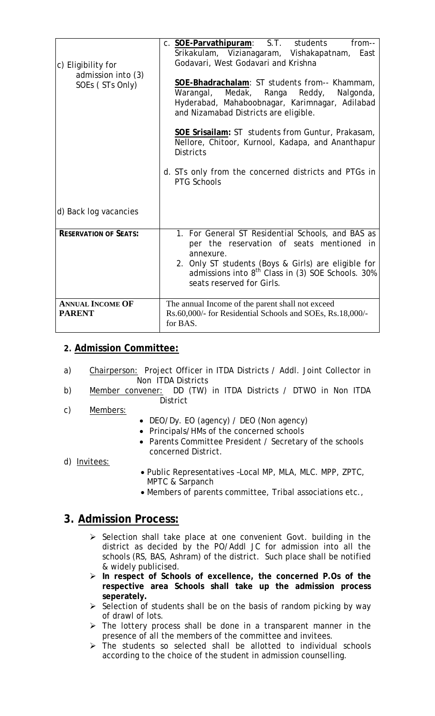| c) Eligibility for<br>admission into (3)<br>SOEs (STs Only) | c. SOE-Parvathipuram: S.T. students<br>from--<br>Srikakulam, Vizianagaram, Vishakapatnam,<br>East<br>Godavari, West Godavari and Krishna<br>SOE-Bhadrachalam: ST students from-- Khammam,<br>Warangal, Medak, Ranga<br>Reddy,<br>Nalgonda,<br>Hyderabad, Mahaboobnagar, Karimnagar, Adilabad<br>and Nizamabad Districts are eligible.<br>SOE Srisailam: ST students from Guntur, Prakasam, |
|-------------------------------------------------------------|--------------------------------------------------------------------------------------------------------------------------------------------------------------------------------------------------------------------------------------------------------------------------------------------------------------------------------------------------------------------------------------------|
| d) Back log vacancies                                       | Nellore, Chitoor, Kurnool, Kadapa, and Ananthapur<br><b>Districts</b><br>d. STs only from the concerned districts and PTGs in<br><b>PTG Schools</b>                                                                                                                                                                                                                                        |
| <b>RESERVATION OF SEATS:</b>                                | 1. For General ST Residential Schools, and BAS as<br>per the reservation of seats mentioned in<br>annexure.<br>2. Only ST students (Boys & Girls) are eligible for<br>admissions into 8 <sup>th</sup> Class in (3) SOE Schools. 30%<br>seats reserved for Girls.                                                                                                                           |
| <b>ANNUAL INCOME OF</b><br><b>PARENT</b>                    | The annual Income of the parent shall not exceed<br>Rs.60,000/- for Residential Schools and SOEs, Rs.18,000/-<br>for BAS.                                                                                                                                                                                                                                                                  |

# **2. Admission Committee:**

- a) Chairperson: Project Officer in ITDA Districts / Addl. Joint Collector in Non ITDA Districts
- b) Member convener: DD (TW) in ITDA Districts / DTWO in Non ITDA **District**
- c) Members:
- DEO/Dy. EO (agency) / DEO (Non agency)
- Principals/HMs of the concerned schools
- Parents Committee President / Secretary of the schools concerned District.
- d) Invitees:
- Public Representatives –Local MP, MLA, MLC. MPP, ZPTC, MPTC & Sarpanch
- Members of parents committee, Tribal associations etc.,

# **3. Admission Process:**

- $\triangleright$  Selection shall take place at one convenient Govt. building in the district as decided by the PO/Addl JC for admission into all the schools (RS, BAS, Ashram) of the district. Such place shall be notified & widely publicised.
- ¾ **In respect of Schools of excellence, the concerned P.Os of the respective area Schools shall take up the admission process seperately.**
- $\triangleright$  Selection of students shall be on the basis of random picking by way of drawl of lots.
- $\triangleright$  The lottery process shall be done in a transparent manner in the presence of all the members of the committee and invitees.
- $\triangleright$  The students so selected shall be allotted to individual schools according to the choice of the student in admission counselling.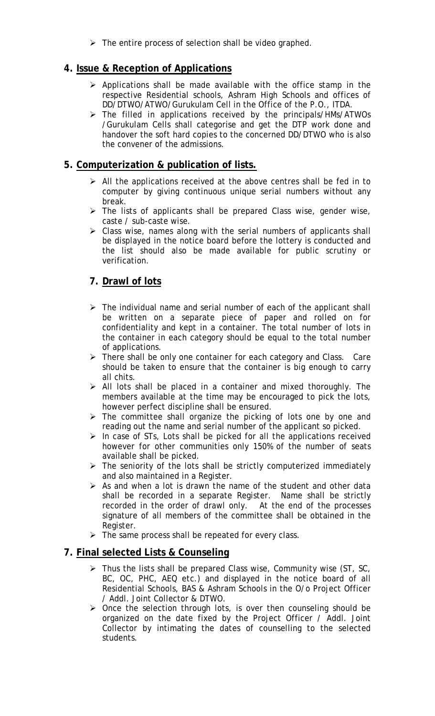$\triangleright$  The entire process of selection shall be video graphed.

# **4. Issue & Reception of Applications**

- $\triangleright$  Applications shall be made available with the office stamp in the respective Residential schools, Ashram High Schools and offices of DD/DTWO/ATWO/Gurukulam Cell in the Office of the P.O., ITDA.
- ¾ The filled in applications received by the principals/HMs/ATWOs /Gurukulam Cells shall categorise and get the DTP work done and handover the soft hard copies to the concerned DD/DTWO who is also the convener of the admissions.

# **5. Computerization & publication of lists.**

- $\triangleright$  All the applications received at the above centres shall be fed in to computer by giving continuous unique serial numbers without any break.
- $\triangleright$  The lists of applicants shall be prepared Class wise, gender wise, caste / sub-caste wise.
- $\triangleright$  Class wise, names along with the serial numbers of applicants shall be displayed in the notice board before the lottery is conducted and the list should also be made available for public scrutiny or verification.

# **7. Drawl of lots**

- $\triangleright$  The individual name and serial number of each of the applicant shall be written on a separate piece of paper and rolled on for confidentiality and kept in a container. The total number of lots in the container in each category should be equal to the total number of applications.
- $\triangleright$  There shall be only one container for each category and Class. Care should be taken to ensure that the container is big enough to carry all chits.
- $\triangleright$  All lots shall be placed in a container and mixed thoroughly. The members available at the time may be encouraged to pick the lots, however perfect discipline shall be ensured.
- $\triangleright$  The committee shall organize the picking of lots one by one and reading out the name and serial number of the applicant so picked.
- $\triangleright$  In case of STs, Lots shall be picked for all the applications received however for other communities only 150% of the number of seats available shall be picked.
- $\triangleright$  The seniority of the lots shall be strictly computerized immediately and also maintained in a Register.
- $\triangleright$  As and when a lot is drawn the name of the student and other data shall be recorded in a separate Register. Name shall be strictly recorded in the order of drawl only. At the end of the processes signature of all members of the committee shall be obtained in the Register.
- $\triangleright$  The same process shall be repeated for every class.

# **7. Final selected Lists & Counseling**

- $\triangleright$  Thus the lists shall be prepared Class wise, Community wise (ST, SC, BC, OC, PHC, AEQ etc.) and displayed in the notice board of all Residential Schools, BAS & Ashram Schools in the O/o Project Officer / Addl. Joint Collector & DTWO.
- $\triangleright$  Once the selection through lots, is over then counseling should be organized on the date fixed by the Project Officer / Addl. Joint Collector by intimating the dates of counselling to the selected students.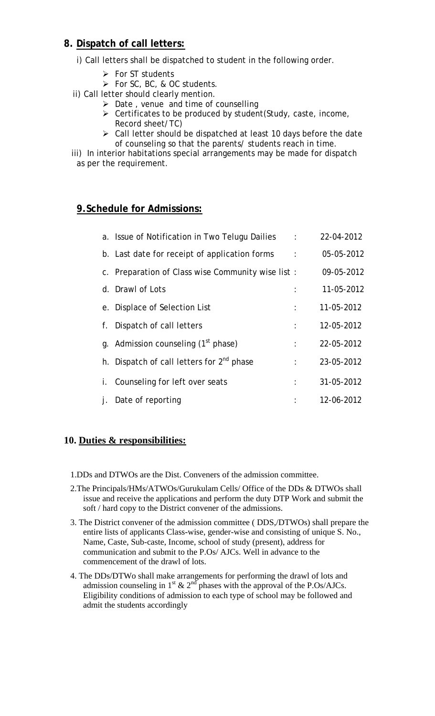# **8. Dispatch of call letters:**

- i) Call letters shall be dispatched to student in the following order.
	- $\triangleright$  For ST students
	- ¾ For SC, BC, & OC students.
- ii) Call letter should clearly mention.
	- $\triangleright$  Date, venue and time of counselling
	- $\triangleright$  Certificates to be produced by student (Study, caste, income,
		- Record sheet/TC)
	- $\triangleright$  Call letter should be dispatched at least 10 days before the date of counseling so that the parents/ students reach in time.

 iii) In interior habitations special arrangements may be made for dispatch as per the requirement.

# **9.Schedule for Admissions:**

|    | a. Issue of Notification in Two Telugu Dailies        | $\sim$ 1.            | 22-04-2012 |
|----|-------------------------------------------------------|----------------------|------------|
|    | b. Last date for receipt of application forms         | $\ddot{\phantom{a}}$ | 05-05-2012 |
|    | c. Preparation of Class wise Community wise list:     |                      | 09-05-2012 |
|    | d. Drawl of Lots                                      |                      | 11-05-2012 |
|    | e. Displace of Selection List                         | $\ddot{\phantom{a}}$ | 11-05-2012 |
| f. | Dispatch of call letters                              | $\ddot{\cdot}$       | 12-05-2012 |
|    | g. Admission counseling (1 <sup>st</sup> phase)       | ÷                    | 22-05-2012 |
|    | h. Dispatch of call letters for 2 <sup>nd</sup> phase | ÷                    | 23-05-2012 |
|    | i. Counseling for left over seats                     | ÷                    | 31-05-2012 |
|    | Date of reporting                                     |                      | 12-06-2012 |

# **10. Duties & responsibilities:**

- 1.DDs and DTWOs are the Dist. Conveners of the admission committee.
- 2.The Principals/HMs/ATWOs/Gurukulam Cells/ Office of the DDs & DTWOs shall issue and receive the applications and perform the duty DTP Work and submit the soft / hard copy to the District convener of the admissions.
- 3. The District convener of the admission committee ( DDS,/DTWOs) shall prepare the entire lists of applicants Class-wise, gender-wise and consisting of unique S. No., Name, Caste, Sub-caste, Income, school of study (present), address for communication and submit to the P.Os/ AJCs. Well in advance to the commencement of the drawl of lots.
- 4. The DDs/DTWo shall make arrangements for performing the drawl of lots and admission counseling in 1<sup>st</sup> & 2<sup>nd</sup> phases with the approval of the P.Os/AJCs. Eligibility conditions of admission to each type of school may be followed and admit the students accordingly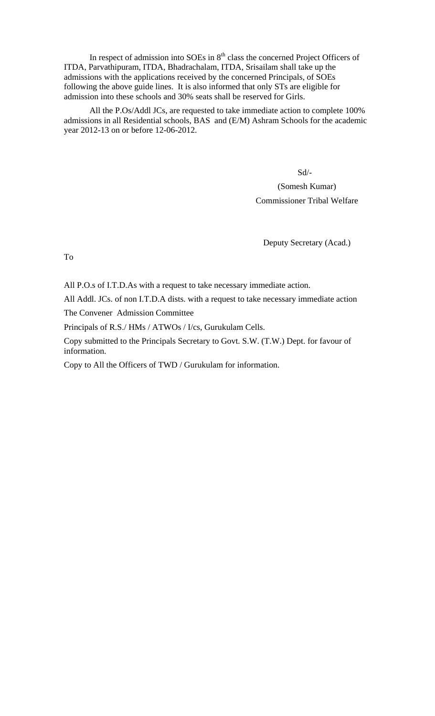In respect of admission into SOEs in  $8<sup>th</sup>$  class the concerned Project Officers of ITDA, Parvathipuram, ITDA, Bhadrachalam, ITDA, Srisailam shall take up the admissions with the applications received by the concerned Principals, of SOEs following the above guide lines. It is also informed that only STs are eligible for admission into these schools and 30% seats shall be reserved for Girls.

All the P.Os/Addl JCs, are requested to take immediate action to complete 100% admissions in all Residential schools, BAS and (E/M) Ashram Schools for the academic year 2012-13 on or before 12-06-2012.

Sd/-

(Somesh Kumar) Commissioner Tribal Welfare

Deputy Secretary (Acad.)

To

All P.O.s of I.T.D.As with a request to take necessary immediate action.

All Addl. JCs. of non I.T.D.A dists. with a request to take necessary immediate action

The Convener Admission Committee

Principals of R.S./ HMs / ATWOs / I/cs, Gurukulam Cells.

Copy submitted to the Principals Secretary to Govt. S.W. (T.W.) Dept. for favour of information.

Copy to All the Officers of TWD / Gurukulam for information.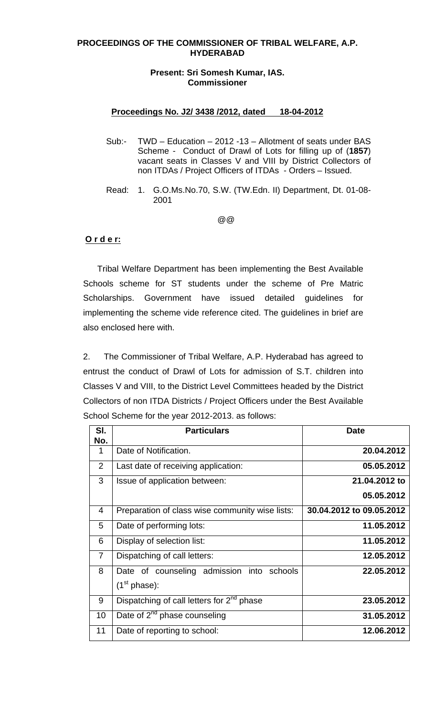#### **PROCEEDINGS OF THE COMMISSIONER OF TRIBAL WELFARE, A.P. HYDERABAD**

#### **Present: Sri Somesh Kumar, IAS. Commissioner**

#### **Proceedings No. J2/ 3438 /2012, dated 18-04-2012**

- Sub:- TWD Education 2012 -13 Allotment of seats under BAS Scheme - Conduct of Drawl of Lots for filling up of (**1857**) vacant seats in Classes V and VIII by District Collectors of non ITDAs / Project Officers of ITDAs - Orders – Issued.
- Read: 1. G.O.Ms.No.70, S.W. (TW.Edn. II) Department, Dt. 01-08- 2001

#### where the contract of the contract of  $\omega$   $\omega$

### **O r d e r:**

 Tribal Welfare Department has been implementing the Best Available Schools scheme for ST students under the scheme of Pre Matric Scholarships. Government have issued detailed guidelines for implementing the scheme vide reference cited. The guidelines in brief are also enclosed here with.

 2. The Commissioner of Tribal Welfare, A.P. Hyderabad has agreed to entrust the conduct of Drawl of Lots for admission of S.T. children into Classes V and VIII, to the District Level Committees headed by the District Collectors of non ITDA Districts / Project Officers under the Best Available School Scheme for the year 2012-2013. as follows:

| SI.<br>No.     | <b>Particulars</b>                              | <b>Date</b>              |
|----------------|-------------------------------------------------|--------------------------|
| 1              | Date of Notification.                           | 20.04.2012               |
| 2              | Last date of receiving application:             | 05.05.2012               |
| 3              | Issue of application between:                   | 21.04.2012 to            |
|                |                                                 | 05.05.2012               |
| 4              | Preparation of class wise community wise lists: | 30.04.2012 to 09.05.2012 |
| 5              | Date of performing lots:                        | 11.05.2012               |
| 6              | Display of selection list:                      | 11.05.2012               |
| $\overline{7}$ | Dispatching of call letters:                    | 12.05.2012               |
| 8              | Date of counseling admission into schools       | 22.05.2012               |
|                | (1 <sup>st</sup> phase):                        |                          |
| 9              | Dispatching of call letters for $2^{nd}$ phase  | 23.05.2012               |
| 10             | Date of 2 <sup>nd</sup> phase counseling        | 31.05.2012               |
| 11             | Date of reporting to school:                    | 12.06.2012               |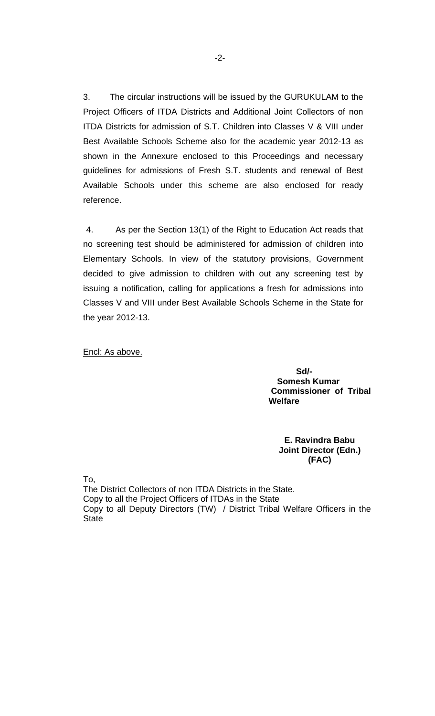3. The circular instructions will be issued by the GURUKULAM to the Project Officers of ITDA Districts and Additional Joint Collectors of non ITDA Districts for admission of S.T. Children into Classes V & VIII under Best Available Schools Scheme also for the academic year 2012-13 as shown in the Annexure enclosed to this Proceedings and necessary guidelines for admissions of Fresh S.T. students and renewal of Best Available Schools under this scheme are also enclosed for ready reference.

 4. As per the Section 13(1) of the Right to Education Act reads that no screening test should be administered for admission of children into Elementary Schools. In view of the statutory provisions, Government decided to give admission to children with out any screening test by issuing a notification, calling for applications a fresh for admissions into Classes V and VIII under Best Available Schools Scheme in the State for the year 2012-13.

Encl: As above.

 **Sd/- Somesh Kumar Commissioner of Tribal Welfare** 

> **E. Ravindra Babu Joint Director (Edn.) (FAC)**

To,

The District Collectors of non ITDA Districts in the State. Copy to all the Project Officers of ITDAs in the State Copy to all Deputy Directors (TW) / District Tribal Welfare Officers in the **State**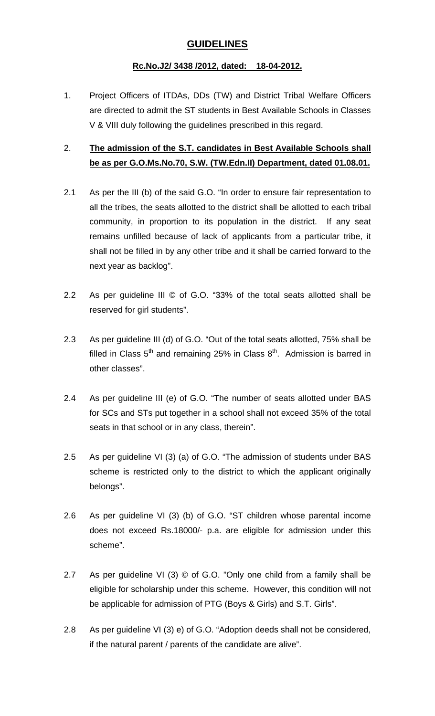# **GUIDELINES**

# **Rc.No.J2/ 3438 /2012, dated: 18-04-2012.**

1. Project Officers of ITDAs, DDs (TW) and District Tribal Welfare Officers are directed to admit the ST students in Best Available Schools in Classes V & VIII duly following the guidelines prescribed in this regard.

# 2. **The admission of the S.T. candidates in Best Available Schools shall be as per G.O.Ms.No.70, S.W. (TW.Edn.II) Department, dated 01.08.01.**

- 2.1 As per the III (b) of the said G.O. "In order to ensure fair representation to all the tribes, the seats allotted to the district shall be allotted to each tribal community, in proportion to its population in the district. If any seat remains unfilled because of lack of applicants from a particular tribe, it shall not be filled in by any other tribe and it shall be carried forward to the next year as backlog".
- 2.2 As per guideline III © of G.O. "33% of the total seats allotted shall be reserved for girl students".
- 2.3 As per guideline III (d) of G.O. "Out of the total seats allotted, 75% shall be filled in Class  $5<sup>th</sup>$  and remaining 25% in Class  $8<sup>th</sup>$ . Admission is barred in other classes".
- 2.4 As per guideline III (e) of G.O. "The number of seats allotted under BAS for SCs and STs put together in a school shall not exceed 35% of the total seats in that school or in any class, therein".
- 2.5 As per guideline VI (3) (a) of G.O. "The admission of students under BAS scheme is restricted only to the district to which the applicant originally belongs".
- 2.6 As per guideline VI (3) (b) of G.O. "ST children whose parental income does not exceed Rs.18000/- p.a. are eligible for admission under this scheme".
- 2.7 As per guideline VI (3) © of G.O. "Only one child from a family shall be eligible for scholarship under this scheme. However, this condition will not be applicable for admission of PTG (Boys & Girls) and S.T. Girls".
- 2.8 As per guideline VI (3) e) of G.O. "Adoption deeds shall not be considered, if the natural parent / parents of the candidate are alive".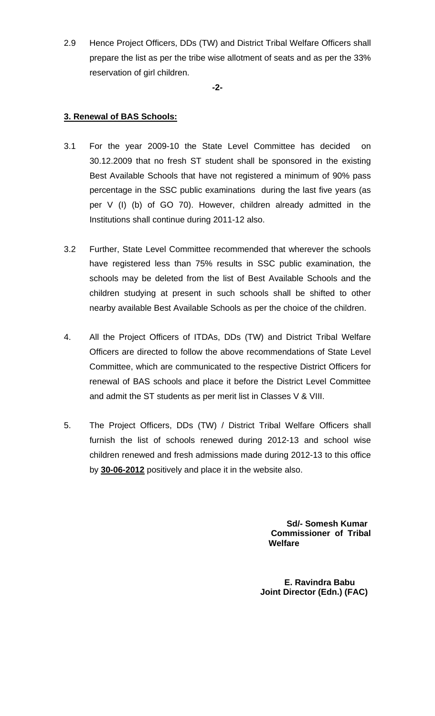2.9 Hence Project Officers, DDs (TW) and District Tribal Welfare Officers shall prepare the list as per the tribe wise allotment of seats and as per the 33% reservation of girl children.

**-2-** 

# **3. Renewal of BAS Schools:**

- 3.1 For the year 2009-10 the State Level Committee has decided on 30.12.2009 that no fresh ST student shall be sponsored in the existing Best Available Schools that have not registered a minimum of 90% pass percentage in the SSC public examinations during the last five years (as per V (I) (b) of GO 70). However, children already admitted in the Institutions shall continue during 2011-12 also.
- 3.2 Further, State Level Committee recommended that wherever the schools have registered less than 75% results in SSC public examination, the schools may be deleted from the list of Best Available Schools and the children studying at present in such schools shall be shifted to other nearby available Best Available Schools as per the choice of the children.
- 4. All the Project Officers of ITDAs, DDs (TW) and District Tribal Welfare Officers are directed to follow the above recommendations of State Level Committee, which are communicated to the respective District Officers for renewal of BAS schools and place it before the District Level Committee and admit the ST students as per merit list in Classes V & VIII.
- 5. The Project Officers, DDs (TW) / District Tribal Welfare Officers shall furnish the list of schools renewed during 2012-13 and school wise children renewed and fresh admissions made during 2012-13 to this office by **30-06-2012** positively and place it in the website also.

 **Sd/- Somesh Kumar Commissioner of Tribal Welfare** 

**E. Ravindra Babu Joint Director (Edn.) (FAC)**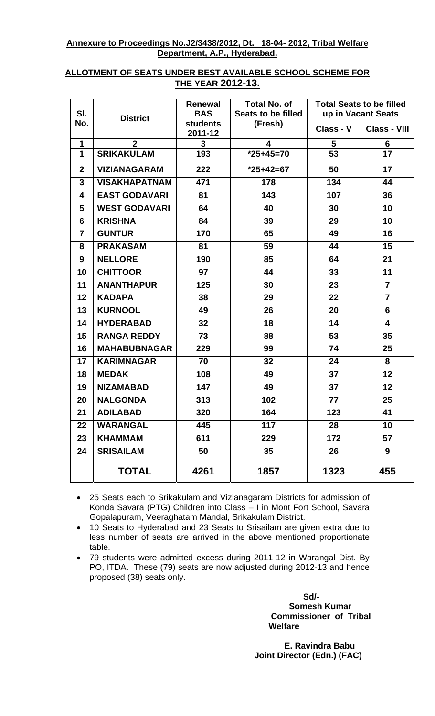### **Annexure to Proceedings No.J2/3438/2012, Dt. 18-04- 2012, Tribal Welfare Department, A.P., Hyderabad.**

# **ALLOTMENT OF SEATS UNDER BEST AVAILABLE SCHOOL SCHEME FOR THE YEAR 2012-13.**

| SI.            |                      | <b>Renewal</b><br><b>BAS</b> | <b>Total No. of</b><br>Seats to be filled |           | <b>Total Seats to be filled</b><br>up in Vacant Seats |  |  |  |  |
|----------------|----------------------|------------------------------|-------------------------------------------|-----------|-------------------------------------------------------|--|--|--|--|
| No.            | <b>District</b>      | <b>students</b><br>2011-12   | (Fresh)                                   | Class - V | <b>Class - VIII</b>                                   |  |  |  |  |
| 1              | $\overline{2}$       | 3                            | 4                                         | 5         | 6                                                     |  |  |  |  |
| 1              | <b>SRIKAKULAM</b>    | 193                          | $*25+45=70$                               | 53        | 17                                                    |  |  |  |  |
| $\mathbf{2}$   | <b>VIZIANAGARAM</b>  | 222                          | $*25+42=67$                               | 50        | 17                                                    |  |  |  |  |
| 3              | <b>VISAKHAPATNAM</b> | 471                          | 178                                       | 134       | 44                                                    |  |  |  |  |
| 4              | <b>EAST GODAVARI</b> | 81                           | 143                                       | 107       | 36                                                    |  |  |  |  |
| 5              | <b>WEST GODAVARI</b> | 64                           | 40                                        | 30        | 10                                                    |  |  |  |  |
| 6              | <b>KRISHNA</b>       | 84                           | 39                                        | 29        | 10                                                    |  |  |  |  |
| $\overline{7}$ | <b>GUNTUR</b>        | 170                          | 65                                        | 49        | 16                                                    |  |  |  |  |
| 8              | <b>PRAKASAM</b>      | 81                           | 59                                        | 44        | 15                                                    |  |  |  |  |
| 9              | <b>NELLORE</b>       | 190                          | 85                                        | 64        | 21                                                    |  |  |  |  |
| 10             | <b>CHITTOOR</b>      | 97                           | 44                                        | 33        | 11                                                    |  |  |  |  |
| 11             | <b>ANANTHAPUR</b>    | 125                          | 30                                        | 23        | $\overline{7}$                                        |  |  |  |  |
| 12             | <b>KADAPA</b>        | 38                           | 29                                        | 22        | $\overline{7}$                                        |  |  |  |  |
| 13             | <b>KURNOOL</b>       | 49                           | 26                                        | 20        | 6                                                     |  |  |  |  |
| 14             | <b>HYDERABAD</b>     | 32                           | 18                                        | 14        | 4                                                     |  |  |  |  |
| 15             | <b>RANGA REDDY</b>   | 73                           | 88                                        | 53        | 35                                                    |  |  |  |  |
| 16             | <b>MAHABUBNAGAR</b>  | 229                          | 99                                        | 74        | 25                                                    |  |  |  |  |
| 17             | <b>KARIMNAGAR</b>    | 70                           | 32                                        | 24        | 8                                                     |  |  |  |  |
| 18             | <b>MEDAK</b>         | 108                          | 49                                        | 37        | 12                                                    |  |  |  |  |
| 19             | <b>NIZAMABAD</b>     | 147                          | 49                                        | 37        | 12                                                    |  |  |  |  |
| 20             | <b>NALGONDA</b>      | 313                          | 102                                       | 77        | 25                                                    |  |  |  |  |
| 21             | <b>ADILABAD</b>      | 320                          | 164                                       | 123       | 41                                                    |  |  |  |  |
| 22             | <b>WARANGAL</b>      | 445                          | 117                                       | 28        | 10                                                    |  |  |  |  |
| 23             | <b>KHAMMAM</b>       | 611                          | 229                                       | 172       | 57                                                    |  |  |  |  |
| 24             | <b>SRISAILAM</b>     | 50                           | 35                                        | 26<br>9   |                                                       |  |  |  |  |
|                | <b>TOTAL</b>         | 4261                         | 1857                                      | 1323      | 455                                                   |  |  |  |  |

• 25 Seats each to Srikakulam and Vizianagaram Districts for admission of Konda Savara (PTG) Children into Class – I in Mont Fort School, Savara Gopalapuram, Veeraghatam Mandal, Srikakulam District.

• 10 Seats to Hyderabad and 23 Seats to Srisailam are given extra due to less number of seats are arrived in the above mentioned proportionate table.

• 79 students were admitted excess during 2011-12 in Warangal Dist. By PO, ITDA. These (79) seats are now adjusted during 2012-13 and hence proposed (38) seats only.

 **Sd/- Somesh Kumar Commissioner of Tribal Welfare** 

> **E. Ravindra Babu Joint Director (Edn.) (FAC)**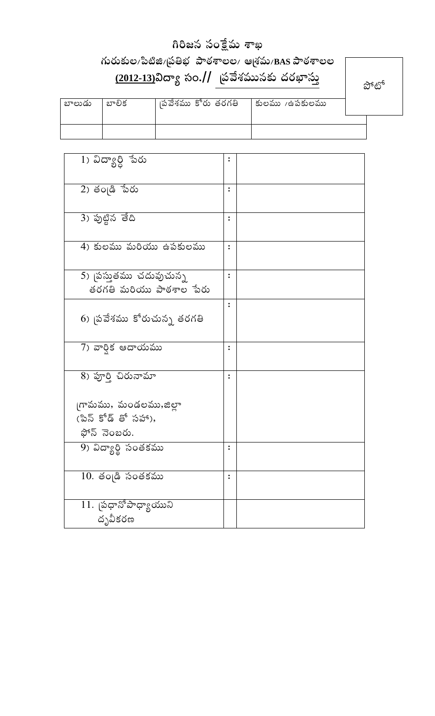# $\delta$ a baba bada asa

# $\kappa$ సరుకుల/పిటిజి/బ్రతిభ పాఠశాలల/ ఆశ్రమ/BAS పాఠశాలల  $\frac{(2012-13)}{20}$ విద్యా సం.// త్రవేశమునకు దరఖాస్తు

ಬ್ $\infty$ ್

| బాలుడు | బాలిక | ।పవేశము కోరు తరగతి | కులము 7ఉపకులము |  |
|--------|-------|--------------------|----------------|--|
|        |       |                    |                |  |
|        |       |                    |                |  |

| $\overline{\text{1)}}$ విద్యార్ది ేపరు | $\ddot{\cdot}$ |  |
|----------------------------------------|----------------|--|
|                                        |                |  |
| 2) తంౖడి పేరు                          | $\ddot{\cdot}$ |  |
| 3) పుట్టిన తేది                        |                |  |
| 4) కులము మరియు ఉపకులము                 | $\ddot{\cdot}$ |  |
| 5) (పస్తుతము చదువుచున్న                |                |  |
|                                        |                |  |
| తరగతి మరియు పాఠశాల పేరు                |                |  |
|                                        |                |  |
| 6) <sub>(</sub> పవేశము కోరుచున్న తరగతి |                |  |
| 7) వార్తిక ఆదాయము                      | ፡              |  |
|                                        |                |  |
| 8) పూర్తి చిరునామా                     | ፡              |  |
| గామము, మండలము,జిల్లా                   |                |  |
| (పిన్ కోడ్ తో సహా),                    |                |  |
|                                        |                |  |
| ఫోన్ నెంబరు.                           |                |  |
| 9) విద్యార్థి సంతకము                   | ፡              |  |
|                                        |                |  |
| $10.$ తండ్రి సంతకము                    | $\ddot{\cdot}$ |  |
| $11.$ ప్రధానోపాధ్యాయుని                |                |  |
| దృవీకరణ                                |                |  |
|                                        |                |  |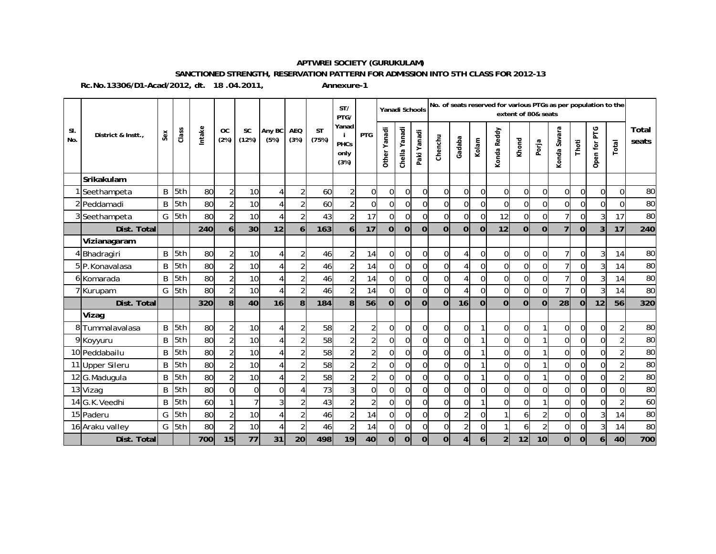#### **APTWREI SOCIETY (GURUKULAM)**

#### **SANCTIONED STRENGTH, RESERVATION PATTERN FOR ADMISSION INTO 5TH CLASS FOR 2012-13**

**Rc.No.13306/D1-Acad/2012, dt. 18 .04.2011,** 

**Annexure-1**

|            |                    |     |                  |        |                   |                    |                |                    |                    | ST/<br>PTG/                   |                         | Yanadi Schools               |                  |             |                |                |                | No. of seats reserved for various PTGs as per population to the | extent of 80& seats |                |                |                |                |                |                |
|------------|--------------------|-----|------------------|--------|-------------------|--------------------|----------------|--------------------|--------------------|-------------------------------|-------------------------|------------------------------|------------------|-------------|----------------|----------------|----------------|-----------------------------------------------------------------|---------------------|----------------|----------------|----------------|----------------|----------------|----------------|
| SI.<br>No. | District & Instt., | Sex | Class            | Intake | <b>OC</b><br>(2%) | <b>SC</b><br>(12%) | Any BC<br>(5%) | <b>AEQ</b><br>(3%) | <b>ST</b><br>(75%) | Yanad<br>PHCs<br>only<br>(3%) | <b>PTG</b>              | Yanadi<br>Other <sup>1</sup> | Yanadi<br>Chella | Paki Yanadi | Chenchu        | Gadaba         | Kolam          | Konda Reddy                                                     | Khond               | Porja          | Konda Savara   | Thoti          | Open for PTG   | Total          | Total<br>seats |
|            | Srikakulam         |     |                  |        |                   |                    |                |                    |                    |                               |                         |                              |                  |             |                |                |                |                                                                 |                     |                |                |                |                |                |                |
|            | Seethampeta        | B   | 5th              | 80     | $\overline{2}$    | 10                 | 4              | $\overline{2}$     | 60                 | $\overline{2}$                | 0                       | $\overline{0}$               | $\overline{0}$   | 0           | $\overline{0}$ | $\Omega$       | $\Omega$       | $\Omega$                                                        | $\overline{0}$      | $\Omega$       | $\overline{0}$ | $\overline{0}$ | $\Omega$       | $\mathbf 0$    | 80             |
|            | 2 Peddamadi        | B   | l <sub>5th</sub> | 80     | $\overline{2}$    | 10                 | 4              | $\overline{2}$     | 60                 | $\overline{2}$                | $\mathbf 0$             | 0l                           | $\Omega$         | 0           | $\overline{0}$ | $\overline{0}$ | $\Omega$       | $\Omega$                                                        | $\overline{0}$      | $\Omega$       | $\overline{0}$ | $\overline{0}$ | $\Omega$       | $\overline{0}$ | 80             |
|            | 3 Seethampeta      |     | G 5th            | 80     | $\overline{2}$    | 10                 | 4              | $\overline{2}$     | 43                 | $\overline{2}$                | 17                      | $\overline{0}$               | $\overline{0}$   | 0           | $\overline{0}$ | $\overline{0}$ | $\overline{0}$ | 12                                                              | $\overline{0}$      | $\overline{0}$ | $\overline{7}$ | $\overline{0}$ | $\overline{3}$ | 17             | 80             |
|            | Dist. Total        |     |                  | 240    | 6                 | 30                 | 12             | 6                  | 163                | $6 \mid$                      | 17                      | $\overline{0}$               | $\overline{0}$   | $\Omega$    | $\overline{0}$ | $\Omega$       | $\Omega$       | 12                                                              | $\overline{0}$      | $\overline{0}$ | $\overline{7}$ | $\Omega$       | $\overline{3}$ | 17             | 240            |
|            | Vizianagaram       |     |                  |        |                   |                    |                |                    |                    |                               |                         |                              |                  |             |                |                |                |                                                                 |                     |                |                |                |                |                |                |
|            | 4 Bhadragiri       |     | B 5th            | 80     | 2                 | 10                 | 4              | $\overline{2}$     | 46                 | $\overline{2}$                | 14                      | $\overline{0}$               | $\overline{0}$   | 0           | $\overline{0}$ | 4              | $\Omega$       | $\Omega$                                                        | $\overline{0}$      | $\Omega$       | 7 <sup>1</sup> | $\Omega$       | $\overline{3}$ | 14             | 80             |
|            | 5P.Konavalasa      | B   | 5th              | 80     | $\overline{2}$    | 10                 | 4              | $\overline{2}$     | 46                 | $\overline{2}$                | 14                      | $\overline{0}$               | $\Omega$         | 0           | $\overline{0}$ | $\Delta$       | $\Omega$       | $\Omega$                                                        | $\Omega$            | $\Omega$       | 7 <sup>1</sup> | $\Omega$       | $\overline{3}$ | 14             | 80             |
|            | 6 Komarada         | B   | 5th              | 80     | $\overline{2}$    | 10                 | 4              | $\overline{c}$     | 46                 | $\overline{2}$                | 14                      | $\overline{0}$               | $\overline{0}$   | 0           | $\overline{0}$ | $\Delta$       | $\Omega$       | $\overline{0}$                                                  | $\overline{0}$      | $\overline{0}$ | 7 <sup>1</sup> | $\Omega$       | 3              | 14             | 80             |
|            | 7 Kurupam          |     | $G$ 5th          | 80     | 2                 | 10                 | 4              | $\overline{2}$     | 46                 | $\overline{2}$                | 14                      | $\overline{0}$               | $\overline{0}$   | 0           | $\overline{0}$ | 4              | $\mathbf 0$    | $\overline{0}$                                                  | $\overline{0}$      | $\overline{0}$ | $\overline{7}$ | $\overline{0}$ | 3              | 14             | 80             |
|            | Dist. Total        |     |                  | 320    | 8                 | 40                 | 16             | 8                  | 184                | 8                             | 56                      | $\overline{0}$               | $\Omega$         | $\Omega$    | $\mathbf 0$    | 16             | $\Omega$       | $\Omega$                                                        | $\mathbf 0$         | $\overline{0}$ | 28             | $\Omega$       | 12             | 56             | 320            |
|            | Vizag              |     |                  |        |                   |                    |                |                    |                    |                               |                         |                              |                  |             |                |                |                |                                                                 |                     |                |                |                |                |                |                |
|            | 8 Tummalavalasa    |     | B 5th            | 80     | $\overline{2}$    | 10                 | 4              | $\sqrt{2}$         | 58                 | $\overline{2}$                | $\overline{\mathbf{c}}$ | $\overline{0}$               | $\overline{0}$   | 0           | $\overline{0}$ | $\Omega$       |                | $\Omega$                                                        | $\overline{0}$      | 1              | $\overline{0}$ | $\overline{0}$ | $\Omega$       |                | 80             |
|            | 9 Koyyuru          | B   | 5th              | 80     | $\overline{2}$    | 10                 | 4              | $\overline{2}$     | 58                 | $\overline{2}$                | $\overline{c}$          | $\mathbf 0$                  | $\Omega$         | 0           | $\overline{0}$ | $\Omega$       |                | $\overline{0}$                                                  | 0                   |                | $\overline{0}$ | $\overline{0}$ | $\Omega$       | $\overline{2}$ | 80             |
|            | 10 Peddabailu      | B   | 5th              | 80     | $\overline{2}$    | 10                 | 4              | $\overline{2}$     | 58                 | $\overline{2}$                | $\overline{2}$          | $\overline{0}$               | $\overline{0}$   | 0           | $\overline{0}$ | $\overline{0}$ |                | $\overline{0}$                                                  | $\overline{0}$      | $\mathbf{1}$   | $\overline{0}$ | $\overline{0}$ | $\Omega$       | $\overline{2}$ | 80             |
|            | 11 Upper Sileru    | B   | 5th              | 80     | $\overline{2}$    | 10                 | 4              | $\overline{2}$     | 58                 | $\overline{2}$                | $\overline{c}$          | $\Omega$                     | $\Omega$         | 0           | $\overline{0}$ | $\Omega$       |                | $\Omega$                                                        | $\overline{0}$      |                | $\overline{0}$ | $\overline{0}$ | $\Omega$       |                | 80             |
|            | 12 G. Madugula     | B   | l5th             | 80     | $\overline{2}$    | 10                 | 4              | $\overline{2}$     | 58                 | $\overline{2}$                | $\overline{\mathbf{c}}$ | $\overline{0}$               | $\Omega$         | 0           | $\overline{0}$ | $\Omega$       |                | $\Omega$                                                        | $\Omega$            |                | $\overline{0}$ | $\Omega$       | $\Omega$       |                | 80             |
|            | 13 Vizag           | B   | 5th              | 80     | $\Omega$          | $\overline{0}$     | $\overline{0}$ | 4                  | 73                 | $\overline{3}$                | $\overline{0}$          | $\overline{0}$               | $\Omega$         | 0           | $\overline{0}$ | $\overline{0}$ | $\Omega$       | $\Omega$                                                        | $\Omega$            | $\overline{0}$ | $\overline{0}$ | $\Omega$       | $\Omega$       | $\overline{0}$ | 80             |
|            | 14 G.K. Veedhi     | B   | 5th              | 60     |                   |                    | $\overline{3}$ | $\overline{2}$     | 43                 | $\overline{2}$                | $\overline{2}$          | $\mathbf 0$                  | $\overline{0}$   | 0           | $\mathbf 0$    | $\overline{0}$ |                | $\overline{0}$                                                  | $\overline{0}$      | 1              | $\overline{0}$ | $\overline{0}$ | $\overline{0}$ |                | 60             |
|            | 15 Paderu          | G   | 5th              | 80     | 2                 | 10                 | 4              | $\overline{2}$     | 46                 | $\overline{2}$                | 14                      | $\Omega$                     | $\Omega$         | 0           | $\overline{0}$ | $\overline{2}$ | $\Omega$       |                                                                 | 61                  | $\overline{2}$ | $\overline{0}$ | $\overline{0}$ | $\overline{3}$ | 14             | 80             |
|            | 16 Araku valley    |     | G 5th            | 80     | $\overline{2}$    | 10                 | 4              | $\overline{c}$     | 46                 | $\overline{2}$                | 14                      | $\overline{0}$               | $\overline{0}$   | 0           | $\overline{0}$ | $\overline{2}$ | $\overline{0}$ | $\mathbf{1}$                                                    | 6                   | $\overline{2}$ | $\overline{0}$ | $\Omega$       | $\overline{3}$ | 14             | 80             |
|            | Dist. Total        |     |                  | 700    | 15                | 77                 | 31             | 20                 | 498                | 19                            | 40                      | $\overline{0}$               | $\overline{0}$   | 0           | $\mathbf 0$    | $\overline{4}$ | 6              | $\overline{2}$                                                  | 12                  | 10             | $\overline{0}$ | $\overline{0}$ | 61             | 40             | 700            |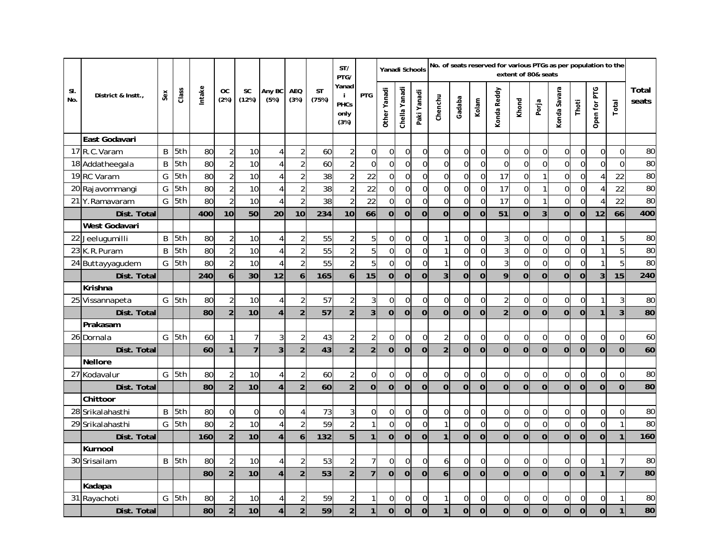|            |                    |     |         |       |                   |                    |                |                    |                    | ST/<br>PTG/                                |                         | Yanadi Schools |                |                  |                  |                |                | No. of seats reserved for various PTGs as per population to the | extent of 80& seats |                |                |                |                |                |                |
|------------|--------------------|-----|---------|-------|-------------------|--------------------|----------------|--------------------|--------------------|--------------------------------------------|-------------------------|----------------|----------------|------------------|------------------|----------------|----------------|-----------------------------------------------------------------|---------------------|----------------|----------------|----------------|----------------|----------------|----------------|
| SI.<br>No. | District & Instt., | Sex | Class   | ntake | <b>OC</b><br>(2%) | <b>SC</b><br>(12%) | Any BC<br>(5%) | <b>AEQ</b><br>(3%) | <b>ST</b><br>(75%) | Yanad<br>j.<br><b>PHCs</b><br>only<br>(3%) | <b>PTG</b>              | Other Yanadi   | Chella Yanadi  | Paki Yanadi      | Chenchu          | Gadaba         | Kolam          | Konda Reddy                                                     | Khond               | Porja          | Konda Savara   | Thoti          | Open for PTG   | Total          | Total<br>seats |
|            | East Godavari      |     |         |       |                   |                    |                |                    |                    |                                            |                         |                |                |                  |                  |                |                |                                                                 |                     |                |                |                |                |                |                |
|            | 17 R.C. Varam      | B   | 5th     | 80    | $\overline{c}$    | 10                 | 4              | $\overline{2}$     | 60                 | $\sqrt{2}$                                 | 0                       | $\overline{0}$ | $\overline{0}$ | 0                | $\boldsymbol{0}$ | $\overline{0}$ | $\mathbf 0$    | $\mathbf 0$                                                     | $\mathbf 0$         | $\overline{0}$ | $\mathbf 0$    | $\overline{0}$ | 0              | $\overline{0}$ | 80             |
|            | 18 Addatheegala    | B   | 5th     | 80    | $\overline{a}$    | 10                 | 4              | $\overline{2}$     | 60                 | $\overline{2}$                             | $\overline{0}$          | $\overline{0}$ | $\Omega$       | $\Omega$         | $\mathbf 0$      | $\mathbf 0$    | $\Omega$       | $\overline{0}$                                                  | $\mathbf 0$         | $\Omega$       | $\mathbf 0$    | $\Omega$       | $\Omega$       | $\overline{0}$ | 80             |
|            | 19 RC Varam        | G   | 5th     | 80    | $\overline{2}$    | 10                 | 4              | $\overline{2}$     | 38                 | $\overline{c}$                             | 22                      | $\mathbf 0$    | $\mathbf 0$    | $\mathbf 0$      | $\mathbf 0$      | $\mathbf 0$    | $\Omega$       | 17                                                              | $\mathbf 0$         | 1              | $\mathbf 0$    | $\mathbf 0$    |                | 22             | 80             |
|            | 20 Rajavommangi    | G   | 5th     | 80    | $\overline{2}$    | 10                 | 4              | $\overline{2}$     | 38                 | $\overline{2}$                             | 22                      | $\overline{0}$ | $\overline{0}$ | $\overline{0}$   | $\boldsymbol{0}$ | $\overline{0}$ | $\overline{0}$ | 17                                                              | $\boldsymbol{0}$    | 1              | $\overline{0}$ | $\mathbf 0$    |                | 22             | 80             |
|            | 21 Y.Ramavaram     | G   | 5th     | 80    | $\overline{2}$    | 10                 | 4              | $\overline{2}$     | 38                 | $\overline{2}$                             | 22                      | $\mathbf 0$    | $\mathbf 0$    | $\mathbf 0$      | $\mathbf 0$      | $\overline{0}$ | $\Omega$       | 17                                                              | $\mathbf 0$         | 1              | $\mathbf 0$    | $\overline{0}$ |                | 22             | 80             |
|            | Dist. Total        |     |         | 400   | 10                | 50                 | 20             | 10                 | 234                | 10                                         | 66                      | $\overline{0}$ | $\overline{0}$ | $\mathbf 0$      | $\overline{0}$   | $\overline{0}$ | $\mathbf 0$    | $\overline{51}$                                                 | $\mathbf 0$         | 3              | $\overline{0}$ | $\Omega$       | 12             | 66             | 400            |
|            | West Godavari      |     |         |       |                   |                    |                |                    |                    |                                            |                         |                |                |                  |                  |                |                |                                                                 |                     |                |                |                |                |                |                |
| 22         | Jeelugumilli       | B   | 5th     | 80    | $\overline{2}$    | 10                 | 4              | $\overline{2}$     | 55                 | $\sqrt{2}$                                 | 5                       | $\Omega$       | $\Omega$       | $\boldsymbol{0}$ | $\mathbf{1}$     | $\Omega$       | $\Omega$       | $\mathbf{3}$                                                    | $\boldsymbol{0}$    | $\Omega$       | $\pmb{0}$      | $\Omega$       |                | 5              | 80             |
|            | 23 K.R.Puram       | B   | 5th     | 80    | $\overline{2}$    | 10                 | 4              | $\overline{2}$     | 55                 | $\overline{2}$                             | 5                       | $\mathbf 0$    | $\mathbf 0$    | $\mathbf 0$      | $\mathbf{1}$     | $\Omega$       | $\overline{0}$ | $\mathbf{3}$                                                    | $\mathbf 0$         | $\overline{0}$ | $\mathbf 0$    | $\mathbf 0$    |                | 5              | 80             |
|            | 24 Buttayyagudem   |     | G 5th   | 80    | $\overline{2}$    | 10                 | 4              | $\overline{2}$     | 55                 | $\overline{2}$                             | 5                       | $\Omega$       | $\mathbf 0$    | 0                | $\mathbf{1}$     | $\Omega$       | $\mathbf{0}$   | 3                                                               | $\mathbf 0$         | $\Omega$       | $\mathbf 0$    | $\overline{0}$ | $\mathbf{1}$   | 5              | 80             |
|            | Dist. Total        |     |         | 240   | 6                 | 30                 | 12             | 6                  | 165                | 6                                          | 15                      | $\overline{0}$ | $\Omega$       | $\Omega$         | 3                | $\overline{0}$ | $\Omega$       | 9                                                               | $\Omega$            | $\overline{0}$ | $\Omega$       | $\Omega$       | $\overline{3}$ | 15             | 240            |
|            | Krishna            |     |         |       |                   |                    |                |                    |                    |                                            |                         |                |                |                  |                  |                |                |                                                                 |                     |                |                |                |                |                |                |
|            | 25 Vissannapeta    |     | $G$ 5th | 80    | $\overline{c}$    | 10                 | $\overline{4}$ | $\overline{2}$     | 57                 | $\overline{2}$                             | 3                       | $\overline{0}$ | $\overline{0}$ | $\mathbf 0$      | $\boldsymbol{0}$ | $\overline{0}$ | $\Omega$       | $\overline{2}$                                                  | $\mathbf 0$         | $\Omega$       | $\overline{0}$ | $\Omega$       |                | 3              | 80             |
|            | Dist. Total        |     |         | 80    | $\overline{2}$    | 10                 | 4              | $\overline{2}$     | 57                 | $\overline{2}$                             | $\overline{3}$          | $\overline{0}$ | $\mathbf 0$    | $\Omega$         | $\mathbf 0$      | $\mathbf 0$    | $\Omega$       | $\overline{2}$                                                  | $\mathbf 0$         | $\mathbf 0$    | $\overline{0}$ | $\Omega$       | $\mathbf{1}$   | 3              | 80             |
|            | Prakasam           |     |         |       |                   |                    |                |                    |                    |                                            |                         |                |                |                  |                  |                |                |                                                                 |                     |                |                |                |                |                |                |
|            | 26 Dornala         |     | G 5th   | 60    | $\mathbf{1}$      | $\overline{7}$     | 3              | $\sqrt{2}$         | 43                 | $\overline{2}$                             | $\overline{\mathbf{c}}$ | $\mathbf 0$    | $\mathbf 0$    | $\mathbf 0$      | $\sqrt{2}$       | $\mathbf 0$    | 0              | $\Omega$                                                        | $\mathbf 0$         | 0              | $\mathbf 0$    | $\Omega$       | $\mathbf 0$    | $\overline{0}$ | 60             |
|            | Dist. Total        |     |         | 60    | $\mathbf{1}$      | $\overline{7}$     | 3              | $\overline{2}$     | 43                 | $\overline{2}$                             | $\overline{2}$          | $\mathbf 0$    | $\mathbf 0$    | $\mathbf 0$      | $\overline{2}$   | $\mathbf 0$    | $\mathbf 0$    | $\mathbf 0$                                                     | $\mathbf 0$         | $\overline{0}$ | $\overline{0}$ | $\overline{0}$ | $\Omega$       | $\overline{0}$ | 60             |
|            | <b>Nellore</b>     |     |         |       |                   |                    |                |                    |                    |                                            |                         |                |                |                  |                  |                |                |                                                                 |                     |                |                |                |                |                |                |
| 27         | Kodavalur          |     | G 5th   | 80    | $\overline{2}$    | 10                 | $\overline{4}$ | $\overline{2}$     | 60                 | $\overline{2}$                             | $\overline{0}$          | $\Omega$       | $\Omega$       | $\overline{0}$   | $\mathbf 0$      | $\Omega$       | $\mathbf{0}$   | $\Omega$                                                        | $\mathbf 0$         | $\Omega$       | $\overline{0}$ | $\overline{0}$ | $\Omega$       | $\overline{0}$ | 80             |
|            | Dist. Total        |     |         | 80    | $\overline{2}$    | 10                 | $\overline{4}$ | $\overline{2}$     | 60                 | $\overline{2}$                             | $\overline{0}$          | $\overline{0}$ | $\overline{0}$ | $\overline{0}$   | $\overline{0}$   | $\overline{0}$ | $\overline{0}$ | $\overline{0}$                                                  | $\overline{0}$      | $\overline{0}$ | $\overline{0}$ | $\Omega$       | $\overline{0}$ | $\overline{0}$ | 80             |
|            | Chittoor           |     |         |       |                   |                    |                |                    |                    |                                            |                         |                |                |                  |                  |                |                |                                                                 |                     |                |                |                |                |                |                |
|            | 28 Srikalahasthi   | B   | 5th     | 80    | $\overline{0}$    | $\overline{0}$     | $\overline{0}$ | $\pmb{4}$          | 73                 | $\overline{3}$                             | 0                       | $\overline{0}$ | $\mathbf 0$    | $\mathbf 0$      | $\boldsymbol{0}$ | $\mathbf 0$    | $\mathbf{0}$   | $\Omega$                                                        | $\mathbf 0$         | $\mathbf 0$    | $\mathbf 0$    | $\mathbf 0$    | $\overline{0}$ | $\overline{0}$ | 80             |
| 29         | Srikalahasthi      |     | G 5th   | 80    | $\overline{2}$    | 10                 | 4              | $\overline{2}$     | 59                 | $\overline{2}$                             | 1                       | $\overline{0}$ | $\overline{0}$ | $\overline{0}$   | $\mathbf{1}$     | $\Omega$       | $\Omega$       | $\overline{0}$                                                  | $\overline{0}$      | $\overline{0}$ | $\mathbf 0$    | $\Omega$       | $\Omega$       | 1              | 80             |
|            | Dist. Total        |     |         | 160   | $\overline{2}$    | 10                 | $\overline{4}$ | 6                  | 132                | 5                                          | 1                       | $\overline{0}$ | $\overline{0}$ | $\mathbf 0$      | $\mathbf{1}$     | $\overline{0}$ | $\overline{0}$ | $\mathbf 0$                                                     | $\overline{0}$      | $\overline{0}$ | $\overline{0}$ | $\Omega$       | $\Omega$       | $\mathbf{1}$   | 160            |
|            | Kurnool            |     |         |       |                   |                    |                |                    |                    |                                            |                         |                |                |                  |                  |                |                |                                                                 |                     |                |                |                |                |                |                |
|            | 30 Srisailam       |     | B 5th   | 80    | $\overline{2}$    | 10                 | $\overline{4}$ | $\sqrt{2}$         | 53                 | $\overline{2}$                             | 7                       | $\Omega$       | $\Omega$       | $\mathbf 0$      | 6                | $\Omega$       | $\Omega$       | $\Omega$                                                        | $\mathbf 0$         | $\Omega$       | $\Omega$       | $\Omega$       |                | $\overline{7}$ | 80             |
|            |                    |     |         | 80    | $\overline{2}$    | 10 <sup>1</sup>    | $\overline{4}$ | $\overline{2}$     | 53                 | $\overline{2}$                             | $\overline{7}$          | $\overline{0}$ | $\mathbf 0$    | $\mathbf 0$      | $\mathbf{6}$     | $\Omega$       | $\overline{0}$ | $\overline{0}$                                                  | $\overline{0}$      | $\overline{0}$ | $\Omega$       | $\Omega$       | $\mathbf{1}$   | $\overline{7}$ | 80             |
|            | Kadapa             |     |         |       |                   |                    |                |                    |                    |                                            |                         |                |                |                  |                  |                |                |                                                                 |                     |                |                |                |                |                |                |
|            | 31 Rayachoti       |     | G 5th   | 80    | $\overline{2}$    | 10                 | 4              | $\overline{2}$     | 59                 | $\overline{2}$                             | 1                       | $\mathbf 0$    | $\mathbf 0$    | $\boldsymbol{0}$ | $\mathbf{1}$     | $\mathbf 0$    | $\mathbf 0$    | $\mathbf 0$                                                     | $\mathbf 0$         | $\mathbf 0$    | $\mathbf 0$    | $\mathbf 0$    | $\mathbf 0$    | 1              | 80             |
|            | Dist. Total        |     |         | 80    | $\overline{2}$    | 10                 | $\overline{4}$ | $\overline{2}$     | 59                 | $\overline{2}$                             | $\mathbf{1}$            | $\overline{0}$ | $\mathbf 0$    | $\overline{0}$   | $\mathbf{1}$     | $\mathbf 0$    | $\mathbf 0$    | $\mathbf 0$                                                     | $\mathbf 0$         | $\overline{0}$ | $\Omega$       | $\Omega$       | $\overline{0}$ | $\mathbf{1}$   | 80             |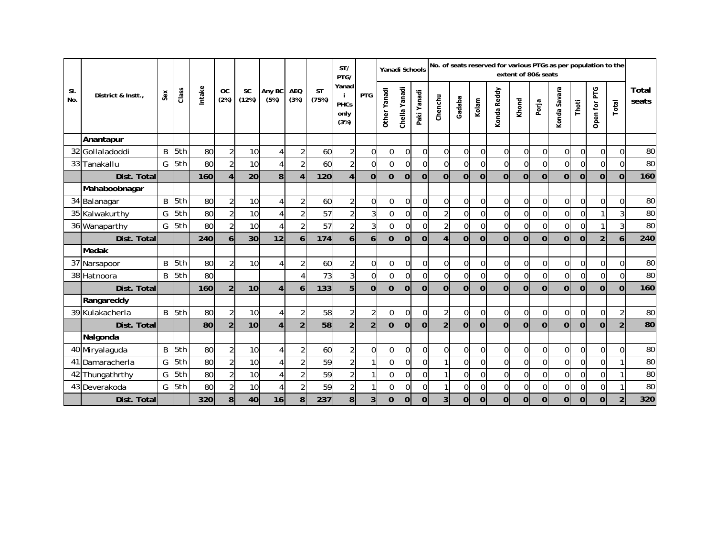|            |                   |              |       |        |                   |                 |                |                    |                    | ST/<br>PTG/                          |                         | Yanadi Schools               |                  |                |                |                |                | No. of seats reserved for various PTGs as per population to the | extent of 80& seats |                |                  |             |                |                |                |
|------------|-------------------|--------------|-------|--------|-------------------|-----------------|----------------|--------------------|--------------------|--------------------------------------|-------------------------|------------------------------|------------------|----------------|----------------|----------------|----------------|-----------------------------------------------------------------|---------------------|----------------|------------------|-------------|----------------|----------------|----------------|
| SI.<br>No. | District & Instt. | Sex          | Class | Intake | <b>OC</b><br>(2%) | SC<br>(12%)     | Any BC<br>(5%) | <b>AEQ</b><br>(3%) | <b>ST</b><br>(75%) | Yanad<br><b>PHCs</b><br>only<br>(3%) | <b>PTG</b>              | Yanadi<br>Other <sup>1</sup> | Yanadi<br>Chella | Paki Yanadi    | Chenchu        | Gadaba         | Kolam          | Konda Reddy                                                     | Khond               | Porja          | Konda Savara     | Thoti       | Open for PTG   | Total          | Total<br>seats |
|            | Anantapur         |              |       |        |                   |                 |                |                    |                    |                                      |                         |                              |                  |                |                |                |                |                                                                 |                     |                |                  |             |                |                |                |
| 32         | Gollaladoddi      | B            | 5th   | 80     | $\overline{2}$    | 10 <sup>1</sup> | 4              | $\overline{2}$     | 60                 | $\overline{2}$                       | $\Omega$                | $\Omega$                     | $\Omega$         | $\overline{0}$ | $\overline{0}$ | $\Omega$       | $\Omega$       | $\Omega$                                                        | $\overline{0}$      | $\Omega$       | $\mathbf 0$      | $\Omega$    | $\Omega$       | $\overline{0}$ | 80             |
|            | 33 Tanakallu      | G            | 5th   | 80     | $\overline{2}$    | 10 <sup>1</sup> | 4              | $\overline{2}$     | 60                 | $\overline{2}$                       | $\overline{0}$          | $\overline{0}$               | 0                | $\Omega$       | $\overline{0}$ | $\Omega$       | $\Omega$       | $\Omega$                                                        | $\Omega$            | $\Omega$       | $\mathbf 0$      | $\Omega$    | $\Omega$       | $\Omega$       | 80             |
|            | Dist. Total       |              |       | 160    | 4                 | 20              | 8              | $\overline{4}$     | 120                | $\overline{4}$                       | $\overline{0}$          | $\overline{0}$               | $\Omega$         | $\overline{0}$ | $\overline{0}$ | $\Omega$       | $\Omega$       | $\overline{0}$                                                  | $\Omega$            | $\Omega$       | $\overline{0}$   | $\Omega$    | $\overline{0}$ | $\Omega$       | 160            |
|            | Mahaboobnagar     |              |       |        |                   |                 |                |                    |                    |                                      |                         |                              |                  |                |                |                |                |                                                                 |                     |                |                  |             |                |                |                |
|            | 34 Balanagar      | $\sf B$      | 5th   | 80     | $\overline{2}$    | 10              | $\overline{4}$ | $\overline{2}$     | 60                 | $\overline{\mathbf{c}}$              | $\overline{0}$          | $\overline{0}$               | $\mathbf 0$      | $\overline{0}$ | $\overline{0}$ | $\overline{0}$ | $\mathbf 0$    | $\overline{0}$                                                  | $\pmb{0}$           | $\overline{0}$ | $\pmb{0}$        | $\mathbf 0$ | $\Omega$       | $\overline{0}$ | 80             |
|            | 35 Kalwakurthy    | G            | 5th   | 80     | $\overline{2}$    | 10              | 4              | $\overline{2}$     | 57                 | $\overline{2}$                       | $\overline{3}$          | $\mathbf 0$                  | $\mathbf 0$      | $\overline{0}$ | $\sqrt{2}$     | $\Omega$       | $\overline{0}$ | $\Omega$                                                        | $\mathbf 0$         | $\Omega$       | $\boldsymbol{0}$ | 0           |                | 3              | 80             |
|            | 36 Wanaparthy     | G            | 5th   | 80     | $\overline{2}$    | 10              | 4              | $\overline{2}$     | 57                 | $\overline{2}$                       | $\overline{3}$          | $\overline{0}$               | $\overline{0}$   | $\overline{0}$ | $\overline{2}$ | $\Omega$       | $\Omega$       | $\Omega$                                                        | $\Omega$            | $\Omega$       | $\mathbf 0$      | $\Omega$    |                | 3              | 80             |
|            | Dist. Total       |              |       | 240    | 6                 | 30              | 12             | 6 <sup>1</sup>     | 174                | 6 <sup>1</sup>                       | 6 <sup>1</sup>          | $\overline{0}$               | $\Omega$         | $\overline{0}$ | $\overline{4}$ | $\Omega$       | $\Omega$       | $\Omega$                                                        | $\mathbf 0$         | $\overline{0}$ | $\Omega$         | $\Omega$    | $\overline{2}$ | 6              | 240            |
|            | Medak             |              |       |        |                   |                 |                |                    |                    |                                      |                         |                              |                  |                |                |                |                |                                                                 |                     |                |                  |             |                |                |                |
|            | 37 Narsapoor      | B            | 5th   | 80     | $\overline{2}$    | 10 <sup>1</sup> | 4              | $\overline{2}$     | 60                 | $\overline{2}$                       | $\overline{0}$          | $\overline{0}$               | $\overline{0}$   | $\overline{0}$ | $\overline{0}$ | $\Omega$       | $\Omega$       | $\Omega$                                                        | $\overline{0}$      | $\Omega$       | $\mathbf 0$      | $\Omega$    | $\Omega$       | $\overline{0}$ | 80             |
|            | 38 Hatnoora       | $\mathsf{B}$ | 5th   | 80     |                   |                 |                | $\overline{4}$     | 73                 | $\overline{3}$                       | $\overline{0}$          | $\overline{0}$               | 0                | $\Omega$       | $\overline{0}$ | $\Omega$       | $\Omega$       | $\Omega$                                                        | $\Omega$            | $\Omega$       | $\mathbf 0$      | $\Omega$    | $\Omega$       | $\Omega$       | 80             |
|            | Dist. Total       |              |       | 160    | $\overline{2}$    | 10 <sup>1</sup> | $\overline{4}$ | 6                  | 133                | 5                                    | $\overline{0}$          | $\overline{0}$               | $\Omega$         | $\overline{0}$ | $\overline{0}$ | $\Omega$       | $\Omega$       | $\overline{0}$                                                  | $\Omega$            | $\Omega$       | $\overline{0}$   | $\Omega$    | $\overline{0}$ | $\Omega$       | 160            |
|            | Rangareddy        |              |       |        |                   |                 |                |                    |                    |                                      |                         |                              |                  |                |                |                |                |                                                                 |                     |                |                  |             |                |                |                |
|            | 39 Kulakacherla   | B            | 5th   | 80     | $\overline{2}$    | 10              | $\overline{4}$ | $\overline{2}$     | 58                 | $\overline{\mathbf{c}}$              | $\overline{2}$          | 0                            | 0                | $\overline{0}$ | $\sqrt{2}$     | $\overline{0}$ | $\mathbf 0$    | $\overline{0}$                                                  | $\mathbf 0$         | $\overline{0}$ | $\mathbf 0$      | $\mathbf 0$ | $\Omega$       | $\overline{c}$ | 80             |
|            | Dist. Total       |              |       | 80     | $\overline{2}$    | 10 <sup>1</sup> | 4              | $\overline{2}$     | 58                 | $\overline{2}$                       | $\overline{2}$          | $\overline{0}$               | $\overline{0}$   | $\overline{0}$ | $\overline{2}$ | $\Omega$       | $\overline{0}$ | $\mathbf 0$                                                     | $\overline{0}$      | $\overline{0}$ | $\overline{0}$   | $\Omega$    | $\Omega$       | $\overline{2}$ | 80             |
|            | Nalgonda          |              |       |        |                   |                 |                |                    |                    |                                      |                         |                              |                  |                |                |                |                |                                                                 |                     |                |                  |             |                |                |                |
|            | 40 Miryalaquda    | $\sf B$      | 5th   | 80     | $\overline{2}$    | 10              | 4              | $\overline{2}$     | 60                 | $\overline{2}$                       | $\overline{0}$          | $\overline{0}$               | $\boldsymbol{0}$ | $\overline{0}$ | $\overline{0}$ | $\overline{0}$ | $\mathbf 0$    | $\overline{0}$                                                  | $\overline{0}$      | $\overline{0}$ | $\pmb{0}$        | $\mathbf 0$ | $\overline{0}$ | $\Omega$       | 80             |
|            | 41 Damaracherla   | G            | 5th   | 80     | $\overline{2}$    | 10              | 4              | $\overline{2}$     | 59                 | $\overline{2}$                       |                         | $\mathbf 0$                  | $\mathbf 0$      | 0              |                | $\Omega$       | $\overline{0}$ | $\Omega$                                                        | $\pmb{0}$           | $\Omega$       | $\mathbf 0$      | 0           | $\Omega$       |                | 80             |
|            | 42 Thungathrthy   | G            | 5th   | 80     | $\overline{2}$    | 10              | 4              | $\overline{2}$     | 59                 | $\overline{2}$                       |                         | $\Omega$                     | $\Omega$         | 0              | $\mathbf{1}$   | $\Omega$       | $\Omega$       | $\Omega$                                                        | $\mathbf 0$         | $\Omega$       | $\mathbf 0$      | $\Omega$    | $\Omega$       |                | 80             |
|            | 43 Deverakoda     | G            | 5th   | 80     | $\overline{2}$    | 10              | 4              | $\overline{2}$     | 59                 | $\overline{2}$                       | 1                       | 0                            | 0                | $\overline{0}$ | $\mathbf{1}$   | $\overline{0}$ | 0              | $\overline{0}$                                                  | $\overline{0}$      | $\overline{0}$ | $\mathbf 0$      | 0           | $\overline{0}$ |                | 80             |
|            | Dist. Total       |              |       | 320    | 8                 | 40              | 16             | 8                  | 237                | 8                                    | $\overline{\mathbf{3}}$ | $\overline{0}$               | $\overline{0}$   | 0              | 3              | 0              | $\mathbf 0$    | $\overline{0}$                                                  | $\mathbf 0$         | $\mathbf 0$    | $\overline{0}$   | 0           | $\overline{0}$ | $\overline{2}$ | 320            |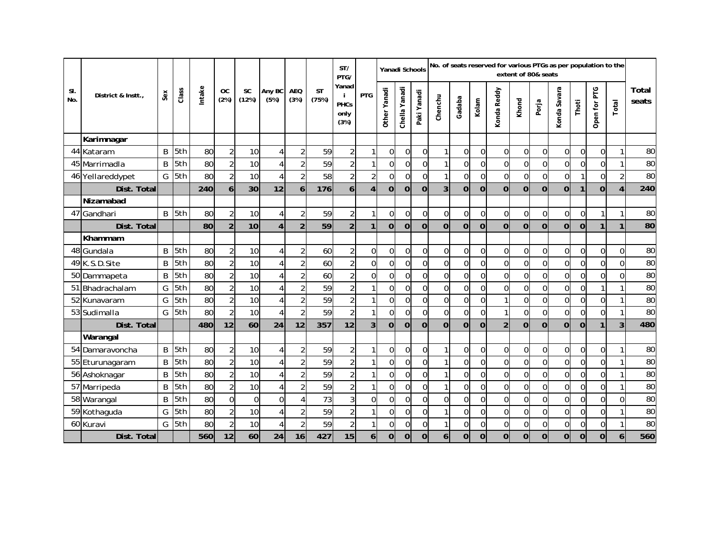| No. of seats reserved for various PTGs as per population to the<br>ST/<br>Yanadi Schools<br>extent of 80& seats<br>PTG/ |                    |        |       |       |                   |                    |                |                    |                    |                                            |                  |                |                  |                |                |                |                |                |                |                |                |                |                |                |                 |
|-------------------------------------------------------------------------------------------------------------------------|--------------------|--------|-------|-------|-------------------|--------------------|----------------|--------------------|--------------------|--------------------------------------------|------------------|----------------|------------------|----------------|----------------|----------------|----------------|----------------|----------------|----------------|----------------|----------------|----------------|----------------|-----------------|
| SI.<br>No.                                                                                                              | District & Instt., | $s$ ex | Class | ntake | <b>OC</b><br>(2%) | <b>SC</b><br>(12%) | Any BC<br>(5%) | <b>AEQ</b><br>(3%) | <b>ST</b><br>(75%) | Yanad<br>-i<br><b>PHCs</b><br>only<br>(3%) | <b>PTG</b>       | Other Yanadi   | Yanadi<br>Chella | Paki Yanadi    | Chenchu        | Gadaba         | Kolam          | Konda Reddy    | Khond          | Porja          | Konda Savara   | Thoti          | Open for PTG   | Total          | Total<br>seats  |
|                                                                                                                         | Karimnagar         |        |       |       |                   |                    |                |                    |                    |                                            |                  |                |                  |                |                |                |                |                |                |                |                |                |                |                |                 |
|                                                                                                                         | 44 Kataram         | B      | 5th   | 80    | $\overline{2}$    | 10                 | 4              | $\overline{2}$     | 59                 | $\overline{2}$                             | 1                | $\overline{0}$ | $\overline{0}$   | $\overline{0}$ | $\mathbf{1}$   | $\overline{0}$ | $\Omega$       | $\overline{0}$ | $\overline{0}$ | $\mathbf 0$    | $\overline{0}$ | $\overline{0}$ | $\Omega$       |                | 80              |
|                                                                                                                         | 45 Marrimadla      | B      | 5th   | 80    | $\overline{2}$    | 10                 | 4              | $\overline{a}$     | 59                 | 2                                          | 1                | $\Omega$       | $\Omega$         | $\Omega$       | $\mathbf{1}$   | $\Omega$       | $\Omega$       | $\Omega$       | $\Omega$       | $\overline{0}$ | $\overline{0}$ | $\Omega$       | $\Omega$       | $\mathbf{1}$   | 80              |
|                                                                                                                         | 46 Yellareddypet   | G      | 5th   | 80    | $\overline{2}$    | 10                 | 4              | $\overline{a}$     | 58                 | $\overline{2}$                             | $\overline{a}$   | $\overline{0}$ | $\mathbf{0}$     | $\Omega$       | $\mathbf{1}$   | $\Omega$       | $\Omega$       | $\Omega$       | $\Omega$       | $\Omega$       | $\overline{0}$ |                | $\Omega$       | $\overline{2}$ | 80              |
|                                                                                                                         | Dist. Total        |        |       | 240   | 6                 | 30                 | 12             | 6                  | 176                | 6                                          | $\overline{4}$   | $\overline{0}$ | $\mathbf 0$      | $\overline{0}$ | 3              | $\overline{0}$ | $\overline{0}$ | $\overline{0}$ | $\overline{0}$ | $\overline{0}$ | $\overline{0}$ | 1              | $\overline{0}$ | $\overline{4}$ | 240             |
|                                                                                                                         | Nizamabad          |        |       |       |                   |                    |                |                    |                    |                                            |                  |                |                  |                |                |                |                |                |                |                |                |                |                |                |                 |
| 47                                                                                                                      | Gandhari           | B      | 5th   | 80    | $\overline{a}$    | 10                 | $\overline{4}$ | $\overline{2}$     | 59                 | $\overline{c}$                             | 1                | $\overline{0}$ | $\overline{0}$   | $\overline{0}$ | $\pmb{0}$      | $\overline{0}$ | $\Omega$       | $\overline{0}$ | $\overline{0}$ | 0              | $\overline{0}$ | $\overline{0}$ |                |                | 80              |
|                                                                                                                         | Dist. Total        |        |       | 80    | $\overline{2}$    | 10                 | $\overline{4}$ | $\overline{2}$     | 59                 | $\overline{2}$                             | $\mathbf{1}$     | $\overline{0}$ | $\overline{0}$   | $\overline{0}$ | $\mathbf 0$    | $\mathbf 0$    | $\overline{0}$ | $\mathbf 0$    | $\overline{0}$ | $\overline{0}$ | $\overline{0}$ | $\overline{0}$ | 1 <sup>1</sup> | 1              | 80              |
|                                                                                                                         | Khammam            |        |       |       |                   |                    |                |                    |                    |                                            |                  |                |                  |                |                |                |                |                |                |                |                |                |                |                |                 |
|                                                                                                                         | 48 Gundala         | B      | 5th   | 80    | $\overline{2}$    | 10                 | 4              | $\overline{a}$     | 60                 | $\overline{2}$                             | $\overline{0}$   | $\overline{0}$ | $\mathbf 0$      | $\mathbf 0$    | $\pmb{0}$      | $\Omega$       | $\Omega$       | $\overline{0}$ | $\overline{0}$ | 0              | $\overline{0}$ | $\overline{0}$ | $\Omega$       | $\mathbf 0$    | 80              |
|                                                                                                                         | 49 K.S.D.Site      | B      | 5th   | 80    | $\overline{a}$    | 10                 | 4              | $\overline{a}$     | 60                 | $\overline{2}$                             | $\overline{0}$   | $\overline{0}$ | $\mathbf 0$      | $\mathbf 0$    | $\mathbf 0$    | $\mathbf 0$    | $\Omega$       | $\overline{0}$ | $\overline{0}$ | $\mathbf 0$    | $\overline{0}$ | $\overline{0}$ | $\Omega$       | $\overline{0}$ | 80              |
|                                                                                                                         | 50 Dammapeta       | B      | 5th   | 80    | $\overline{2}$    | 10                 | 4              | $\overline{a}$     | 60                 | $\overline{2}$                             | $\overline{0}$   | $\overline{0}$ | $\mathbf 0$      | $\mathbf 0$    | $\mathbf 0$    | $\mathbf 0$    | $\Omega$       | $\mathbf 0$    | $\overline{0}$ | $\mathbf 0$    | $\overline{0}$ | $\overline{0}$ | $\Omega$       | $\overline{0}$ | $\overline{80}$ |
|                                                                                                                         | 51 Bhadrachalam    | G      | 5th   | 80    | $\overline{2}$    | 10                 | 4              | $\overline{a}$     | 59                 | $\overline{a}$                             | 1                | $\overline{0}$ | $\mathbf{0}$     | $\overline{0}$ | $\mathbf 0$    | $\mathbf{0}$   | $\Omega$       | $\overline{0}$ | $\overline{0}$ | $\mathbf 0$    | $\overline{0}$ | $\overline{0}$ |                |                | 80              |
|                                                                                                                         | 52 Kunavaram       | G      | 5th   | 80    | $\overline{2}$    | 10                 | 4              | $\overline{a}$     | 59                 | $\overline{2}$                             | 1                | $\overline{0}$ | $\mathbf 0$      | $\mathbf 0$    | $\pmb{0}$      | $\Omega$       | $\Omega$       |                | $\overline{0}$ | $\mathbf 0$    | $\overline{0}$ | $\overline{0}$ | $\Omega$       |                | 80              |
|                                                                                                                         | 53 Sudimalla       | G      | 5th   | 80    | $\overline{2}$    | 10                 | 4              | $\overline{2}$     | 59                 | $\overline{2}$                             | 1                | $\Omega$       | 0                | $\overline{0}$ | $\overline{0}$ | $\Omega$       | $\Omega$       |                | $\Omega$       | $\overline{0}$ | $\Omega$       | $\Omega$       | $\Omega$       |                | 80              |
|                                                                                                                         | Dist. Total        |        |       | 480   | 12                | 60                 | 24             | 12                 | 357                | 12                                         | $\overline{3}$   | $\overline{0}$ | $\overline{0}$   | $\Omega$       | $\Omega$       | $\overline{0}$ | $\Omega$       | $\overline{2}$ | $\overline{0}$ | $\overline{0}$ | $\overline{0}$ | $\Omega$       |                | 3              | 480             |
|                                                                                                                         | Warangal           |        |       |       |                   |                    |                |                    |                    |                                            |                  |                |                  |                |                |                |                |                |                |                |                |                |                |                |                 |
|                                                                                                                         | 54 Damaravoncha    | B      | 5th   | 80    | $\overline{2}$    | 10                 | $\overline{4}$ | $\overline{2}$     | 59                 | $\overline{2}$                             | 1                | $\overline{0}$ | $\overline{0}$   | $\Omega$       | $\mathbf{1}$   | $\Omega$       | $\Omega$       | $\overline{0}$ | $\overline{0}$ | $\overline{0}$ | $\overline{0}$ | $\Omega$       | $\Omega$       | $\mathbf{1}$   | 80              |
|                                                                                                                         | 55 Eturunagaram    | B      | 5th   | 80    | $\overline{2}$    | 10                 | 4              | $\overline{2}$     | 59                 | $\overline{2}$                             | 1                | $\overline{0}$ | $\overline{0}$   | $\mathbf 0$    | $\mathbf{1}$   | $\Omega$       | $\Omega$       | $\overline{0}$ | $\overline{0}$ | $\mathbf 0$    | $\overline{0}$ | $\overline{0}$ | $\Omega$       |                | 80              |
|                                                                                                                         | 56 Ashoknagar      | B      | 5th   | 80    | $\overline{2}$    | 10                 | 4              | $\overline{a}$     | 59                 | $\overline{2}$                             | 1                | $\overline{0}$ | 0                | $\mathbf 0$    | $\mathbf{1}$   | $\Omega$       | $\Omega$       | $\overline{0}$ | $\overline{0}$ | $\mathbf 0$    | $\overline{0}$ | $\overline{0}$ | $\Omega$       |                | 80              |
|                                                                                                                         | 57 Marripeda       | B      | 5th   | 80    | $\overline{2}$    | 10                 | 4              | $\overline{a}$     | 59                 |                                            | 1                | $\overline{0}$ | $\mathbf 0$      | $\overline{0}$ | $\mathbf{1}$   | $\overline{0}$ | $\Omega$       | $\overline{0}$ | $\overline{0}$ | 0              | $\overline{0}$ | $\overline{0}$ | $\Omega$       |                | 80              |
|                                                                                                                         | 58 Warangal        | B      | 5th   | 80    | $\overline{0}$    | $\Omega$           | $\Omega$       | $\overline{4}$     | 73                 | 3                                          | 0                | $\overline{0}$ | $\overline{0}$   | $\mathbf 0$    | 0              | $\Omega$       | $\Omega$       | $\Omega$       | $\mathbf 0$    | 0              | $\overline{0}$ | $\Omega$       | $\Omega$       | $\overline{0}$ | 80              |
|                                                                                                                         | 59 Kothaguda       | G      | 5th   | 80    | $\overline{2}$    | 10                 | $\overline{4}$ | $\overline{a}$     | 59                 | $\overline{2}$                             | 1                | $\overline{0}$ | $\mathbf{0}$     | $\overline{0}$ | $\mathbf{1}$   | $\overline{0}$ | $\Omega$       | $\overline{0}$ | $\overline{0}$ | $\mathbf 0$    | $\overline{0}$ | $\overline{0}$ | $\Omega$       |                | 80              |
|                                                                                                                         | 60 Kuravi          |        | G 5th | 80    | $\overline{a}$    | 10                 | 4              | $\overline{a}$     | 59                 | $\overline{2}$                             | 1                | $\Omega$       | $\overline{0}$   | $\mathbf 0$    | $\mathbf{1}$   | $\Omega$       | $\Omega$       | $\mathbf 0$    | $\overline{0}$ | $\mathbf 0$    | $\overline{0}$ | $\overline{0}$ | $\Omega$       |                | 80              |
|                                                                                                                         | Dist. Total        |        |       | 560   | 12                | 60                 | 24             | 16                 | 427                | 15                                         | $\boldsymbol{6}$ | $\overline{0}$ | $\overline{0}$   | $\overline{0}$ | 6              | $\mathbf 0$    | $\overline{0}$ | $\mathbf 0$    | $\mathbf 0$    | $\overline{0}$ | $\overline{0}$ | $\overline{0}$ | Οl             | $\mathbf{6}$   | 560             |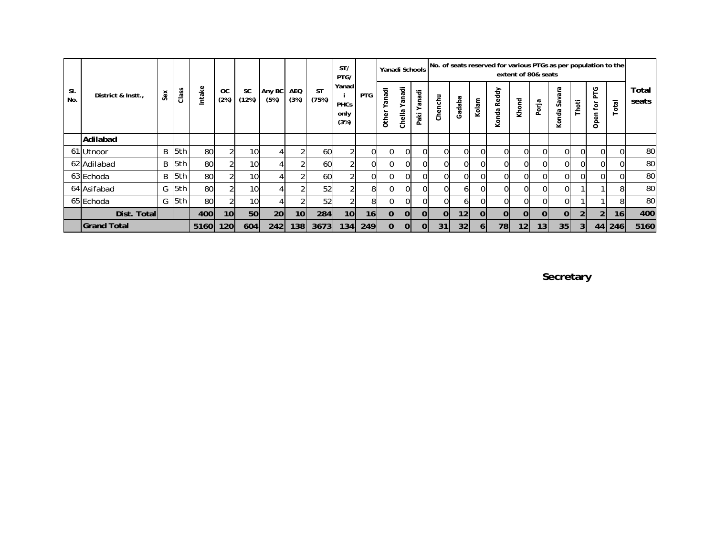|            |                    |        |       |        |                   |                    |                |                    |                    |                                      | ST/<br>PTG/     |                      |                              |                   |              |                 |       |                                    | Yanadi Schools No. of seats reserved for various PTGs as per population to the | extent of 80& seats |                             |                |                                    |        |                |  |
|------------|--------------------|--------|-------|--------|-------------------|--------------------|----------------|--------------------|--------------------|--------------------------------------|-----------------|----------------------|------------------------------|-------------------|--------------|-----------------|-------|------------------------------------|--------------------------------------------------------------------------------|---------------------|-----------------------------|----------------|------------------------------------|--------|----------------|--|
| SI.<br>No. | District & Instt., | $s$ ex | Class | Intake | <b>OC</b><br>(2%) | <b>SC</b><br>(12%) | Any BC<br>(5%) | <b>AEQ</b><br>(3%) | <b>ST</b><br>(75%) | Yanad<br><b>PHCs</b><br>only<br>(3%) | <b>PTG</b>      | ā<br>ã<br>><br>Other | ਰ<br>2°<br>ø<br>ω<br>릏<br>ర్ | anadi<br>äki<br>௳ | Chenchu      | Gadaba          | Kolam | Reddy<br>nda<br>$\bar{\circ}$<br>⊻ | Khond                                                                          | Porja               | ω<br>ಸ<br>$s_{av}$<br>Konda | Thoti          | ပို<br>ட்<br>ίōι<br>pen<br>$\circ$ | otal   | Total<br>seats |  |
|            | Adilabad           |        |       |        |                   |                    |                |                    |                    |                                      |                 |                      |                              |                   |              |                 |       |                                    |                                                                                |                     |                             |                |                                    |        |                |  |
|            | 61 Utnoor          | B      | 5th   | 80     | $\mathfrak{D}$    | <b>10</b>          | 4              |                    | 60                 |                                      | $\Omega$        | ΟI                   | ΟI                           | $\Omega$          | $\Omega$     | $\Omega$        | ΩI    | $\Omega$                           | $\Omega$                                                                       | $\Omega$            | 01                          | $\Omega$       | ΩI                                 |        | 80             |  |
|            | 62 Adilabad        |        | B 5th | 80     |                   | 10 <sub>l</sub>    |                |                    | 60                 |                                      | $\Omega$        | Οl                   | ΟI                           | $\Omega$          | ΩI           |                 | ΩI    | 01                                 | $\Omega$                                                                       |                     | 0                           | 0l             | ΩI                                 |        | 80             |  |
|            | 63 Echoda          |        | B 5th | 80     |                   | 10 <sub>1</sub>    |                |                    | 60                 |                                      | $\Omega$        | ΩI                   | ΩI                           | $\Omega$          | $\Omega$     |                 | ΩI    | ΩI                                 | ΩI                                                                             | $\Omega$            | 01                          | 0l             | ΩI                                 |        | 80             |  |
|            | 64 Asifabad        |        | G 5th | 80     | $\mathfrak{D}$    | 10 <sup>1</sup>    | 4              |                    | 52                 |                                      | 8               | ΟI                   | $\Omega$                     | $\Omega$          | $\Omega$     | 61              | ΟI    | $\Omega$                           | $\Omega$                                                                       | 01                  | 01                          |                |                                    | 8      | 80             |  |
|            | 65 Echoda          |        | G 5th | 80     |                   | 10 <sup>1</sup>    |                |                    | 52                 |                                      | 81              | 01                   | 01                           | $\Omega$          | $\Omega$     | ωI              | ΩI    | ΩI                                 | ΩI                                                                             | $\Omega$            | 01                          |                |                                    | 8      | 80             |  |
|            | Dist. Total        |        |       | 400    | 10 <sup>1</sup>   | 50                 | <b>20</b>      | 10 <sup>1</sup>    | 284                | 10 <sub>l</sub>                      | 16 <sup>1</sup> | <sup>0</sup>         | $\Omega$                     | $\overline{0}$    | <sup>o</sup> | 12 <sub>1</sub> | ΩI    | $\Omega$                           | $\Omega$                                                                       | $\Omega$            | $\Omega$                    | 2              | $\overline{2}$                     | 16I    | 400            |  |
|            | <b>Grand Total</b> |        |       | 5160   | 120               | 604                | 242            | 138I               | 3673               | 134                                  | <b>249</b>      | $\Omega$             | $\Omega$                     | $\Omega$          | 31           | 32              | 61    | 78                                 | 12 <sub>1</sub>                                                                | 13 <sub>1</sub>     | 35 <sub>1</sub>             | 3 <sup>l</sup> |                                    | 44 246 | 5160           |  |

**Secretary**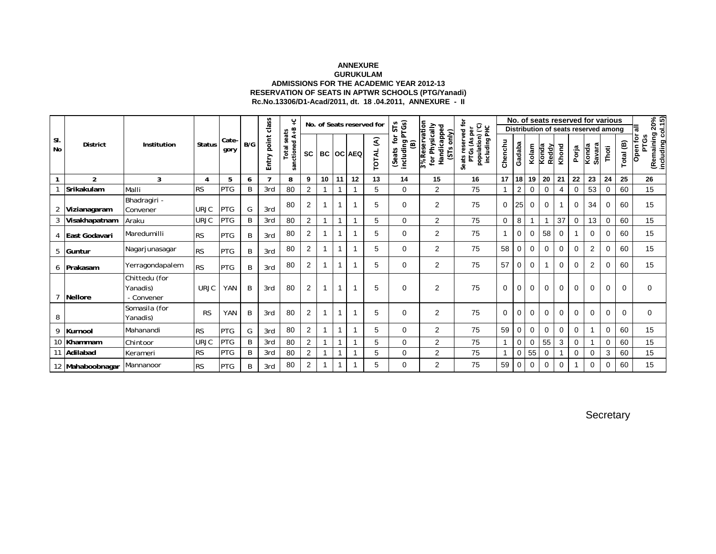#### **ANNEXURE GURUKULAM ADMISSIONS FOR THE ACADEMIC YEAR 2012-13 RESERVATION OF SEATS IN APTWR SCHOOLS (PTG/Yanadi) Rc.No.13306/D1-Acad/2011, dt. 18 .04.2011, ANNEXURE - II**

|                |                  |                                         |                |               |     |                      | ပ္                               | No. of Seats reserved for<br>STs<br>$A + B$ |              |    |                  |                   |                                     |                                                                  |                                                                         |         |                |             |                |             |             | No. of seats reserved for various<br>Distribution of seats reserved among |          |           | ಕ                                                   |
|----------------|------------------|-----------------------------------------|----------------|---------------|-----|----------------------|----------------------------------|---------------------------------------------|--------------|----|------------------|-------------------|-------------------------------------|------------------------------------------------------------------|-------------------------------------------------------------------------|---------|----------------|-------------|----------------|-------------|-------------|---------------------------------------------------------------------------|----------|-----------|-----------------------------------------------------|
| SI.<br>No      | <b>District</b>  | Institution                             | <b>Status</b>  | Cate-<br>gory | B/G | point class<br>Entry | <b>Total</b> seats<br>sanctioned | <b>SC</b>                                   |              |    | <b>BC OC AEQ</b> | €<br><b>TOTAL</b> | including PTGs)<br>đ<br>ම<br>(Seats | 3% Reservation<br>for Physically<br>Handicapped<br>only)<br>(SΤs | Seats reserved for<br>population) ('C)<br>including PHC<br>PTGs (As per | Chenchu | Gadaba         | Kolam       | Konda<br>Reddy | Khond       | Porja       | Savara<br>Konda                                                           | Thoti    | Total (B) | (Remaining 20%<br>including col.15)<br>PTGs<br>Open |
|                | $\overline{2}$   | 3                                       | $\overline{4}$ | 5             | 6   | $\overline{7}$       | 8                                | 9                                           | 10           | 11 | 12               | 13                | 14                                  | 15                                                               | 16                                                                      | 17      | 18             | 19          | 20             | 21          | 22          | 23                                                                        | 24       | 25        | 26                                                  |
|                | Srikakulam       | Malli                                   | <b>RS</b>      | <b>PTG</b>    | B   | 3rd                  | 80                               | $\overline{2}$                              |              |    |                  | 5                 | 0                                   | $\overline{2}$                                                   | 75                                                                      |         | $\overline{2}$ | 0           | $\Omega$       | 4           | 0           | 53                                                                        | 0        | 60        | 15                                                  |
| $\overline{2}$ | Vizianagaram     | Bhadragiri -<br>Convener                | <b>URJC</b>    | <b>PTG</b>    | G   | 3rd                  | 80                               | 2                                           | 1            |    |                  | 5                 | 0                                   | $\overline{2}$                                                   | 75                                                                      | 0       | 25             | $\mathbf 0$ | 0              |             | 0           | 34                                                                        | 0        | 60        | 15                                                  |
| 3              | Visakhapatnam    | Araku                                   | <b>URJC</b>    | PTG           | B   | 3rd                  | 80                               | $\overline{2}$                              | 1            |    |                  | 5                 | $\Omega$                            | $\overline{2}$                                                   | 75                                                                      | 0       | 8              | 1           |                | 37          | 0           | 13                                                                        | 0        | 60        | 15                                                  |
|                | East Godavari    | Maredumilli                             | <b>RS</b>      | <b>PTG</b>    | B   | 3rd                  | 80                               | 2                                           | $\mathbf{1}$ |    |                  | 5                 | $\Omega$                            | $\overline{2}$                                                   | 75                                                                      | 1       | 0              | $\mathbf 0$ | 58             | 0           |             | $\Omega$                                                                  | $\Omega$ | 60        | 15                                                  |
| 5              | Guntur           | Nagarjunasagar                          | <b>RS</b>      | <b>PTG</b>    | B   | 3rd                  | 80                               | 2                                           | $\mathbf{1}$ |    |                  | 5                 | $\Omega$                            | $\overline{2}$                                                   | 75                                                                      | 58      | $\mathbf{0}$   | $\mathbf 0$ | $\mathbf 0$    | 0           | $\mathbf 0$ | $\overline{2}$                                                            | 0        | 60        | 15                                                  |
| 6              | Prakasam         | Yerragondapalem                         | <b>RS</b>      | <b>PTG</b>    | B   | 3rd                  | 80                               | $\overline{2}$                              | $\mathbf{1}$ |    |                  | 5                 | 0                                   | $\overline{2}$                                                   | 75                                                                      | 57      | 0              | $\mathbf 0$ |                | 0           | 0           | 2                                                                         | 0        | 60        | 15                                                  |
|                | <b>Nellore</b>   | Chittedu (for<br>Yanadis)<br>- Convener | <b>URJC</b>    | YAN           | B   | 3rd                  | 80                               | $\overline{2}$                              | 1            | 1  |                  | 5                 | $\Omega$                            | $\overline{2}$                                                   | 75                                                                      | 0       | $\Omega$       | $\Omega$    | $\mathbf 0$    | $\mathbf 0$ | $\mathbf 0$ | $\Omega$                                                                  | 0        | $\Omega$  | $\mathbf 0$                                         |
| 8              |                  | Somasila (for<br>Yanadis)               | <b>RS</b>      | YAN           | B   | 3rd                  | 80                               | $\overline{2}$                              | 1            |    |                  | 5                 | $\Omega$                            | $\overline{2}$                                                   | 75                                                                      | 0       | 0              | $\mathbf 0$ | $\mathbf 0$    | 0           | $\mathbf 0$ | 0                                                                         | 0        | 0         | 0                                                   |
| 9              | Kurnool          | Mahanandi                               | <b>RS</b>      | <b>PTG</b>    | G   | 3rd                  | 80                               | $\overline{2}$                              | 1            |    |                  | 5                 | $\Omega$                            | $\overline{2}$                                                   | 75                                                                      | 59      | 0              | $\mathbf 0$ | $\mathbf 0$    | $\Omega$    | 0           |                                                                           | $\Omega$ | 60        | 15                                                  |
|                | 10 Khammam       | Chintoor                                | <b>URJC</b>    | <b>PTG</b>    | B   | 3rd                  | 80                               | $\overline{2}$                              | 1            |    |                  | 5                 | $\Omega$                            | $\overline{2}$                                                   | 75                                                                      |         | 0              | $\mathbf 0$ | 55             | 3           | $\mathbf 0$ |                                                                           | 0        | 60        | 15                                                  |
| 11             | Adilabad         | Kerameri                                | <b>RS</b>      | <b>PTG</b>    | B   | 3rd                  | 80                               | 2                                           | 1            |    |                  | 5                 | $\Omega$                            | $\overline{2}$                                                   | 75                                                                      |         | 0              | 55          | 0              |             | 0           | $\Omega$                                                                  | 3        | 60        | 15                                                  |
|                | 12 Mahaboobnagar | Mannanoor                               | <b>RS</b>      | <b>PTG</b>    | B   | 3rd                  | 80                               | 2                                           | 1            |    |                  | 5                 | 0                                   | $\overline{2}$                                                   | 75                                                                      | 59      | 0              | $\mathbf 0$ | 0              | $\Omega$    |             | 0                                                                         | 0        | 60        | 15                                                  |

**Secretary**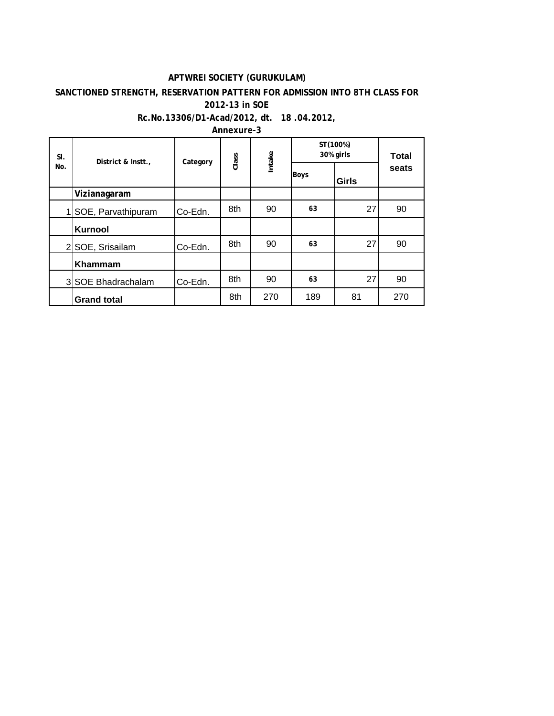#### **APTWREI SOCIETY (GURUKULAM)**

#### **SANCTIONED STRENGTH, RESERVATION PATTERN FOR ADMISSION INTO 8TH CLASS FOR 2012-13 in SOE**

#### **Rc.No.13306/D1-Acad/2012, dt. 18 .04.2012,**

**Annexure-3**

| SI.            | District & Instt., | Category | Class | Intake | ST(100%)<br>30% girls | Total        |       |
|----------------|--------------------|----------|-------|--------|-----------------------|--------------|-------|
| No.            |                    |          |       |        | <b>Boys</b>           | <b>Girls</b> | seats |
|                | Vizianagaram       |          |       |        |                       |              |       |
|                | SOE, Parvathipuram | Co-Edn.  | 8th   | 90     | 63                    | 27           | 90    |
|                | Kurnool            |          |       |        |                       |              |       |
| $\overline{2}$ | SOE, Srisailam     | Co-Edn.  | 8th   | 90     | 63                    | 27           | 90    |
|                | Khammam            |          |       |        |                       |              |       |
|                | 3 SOE Bhadrachalam | Co-Edn.  | 8th   | 90     | 63                    | 27           | 90    |
|                | <b>Grand total</b> |          | 8th   | 270    | 189                   | 81           | 270   |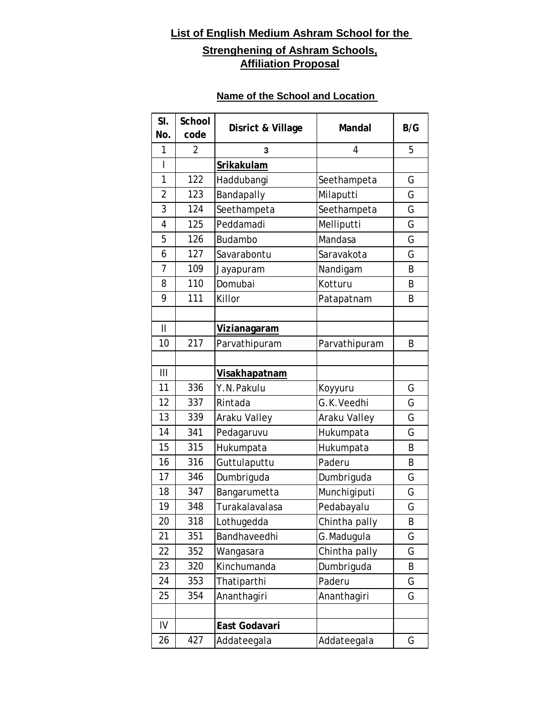## **List of English Medium Ashram School for the**

# **Strenghening of Ashram Schools, Affiliation Proposal**

### **Name of the School and Location**

| SI.<br>No.     | School<br>code | Disrict & Village    | Mandal        | B/G |
|----------------|----------------|----------------------|---------------|-----|
| 1              | $\overline{2}$ | 3                    | 4             | 5   |
| Ī              |                | Srikakulam           |               |     |
| 1              | 122            | Haddubangi           | Seethampeta   | G   |
| $\overline{2}$ | 123            | Bandapally           | Milaputti     | G   |
| 3              | 124            | Seethampeta          | Seethampeta   | G   |
| 4              | 125            | Peddamadi            | Melliputti    | G   |
| 5              | 126            | Budambo              | Mandasa       | G   |
| 6              | 127            | Savarabontu          | Saravakota    | G   |
| 7              | 109            | Jayapuram            | Nandigam      | B   |
| 8              | 110            | Domubai              | Kotturu       | B   |
| 9              | 111            | Killor               | Patapatnam    | Β   |
|                |                |                      |               |     |
| $\mathbf{I}$   |                | <u>Vizianagaram</u>  |               |     |
| 10             | 217            | Parvathipuram        | Parvathipuram | B   |
|                |                |                      |               |     |
| Ш              |                | <b>Visakhapatnam</b> |               |     |
| 11             | 336            | Y.N.Pakulu           | Koyyuru       | G   |
| 12             | 337            | Rintada              | G.K.Veedhi    | G   |
| 13             | 339            | Araku Valley         | Araku Valley  | G   |
| 14             | 341            | Pedagaruvu           | Hukumpata     | G   |
| 15             | 315            | Hukumpata            | Hukumpata     | B   |
| 16             | 316            | Guttulaputtu         | Paderu        | B   |
| 17             | 346            | Dumbriguda           | Dumbriguda    | G   |
| 18             | 347            | Bangarumetta         | Munchigiputi  | G   |
| 19             | 348            | Turakalavalasa       | Pedabayalu    | G   |
| 20             | 318            | Lothugedda           | Chintha pally | B   |
| 21             | 351            | Bandhaveedhi         | G.Madugula    | G   |
| 22             | 352            | Wangasara            | Chintha pally | G   |
| 23             | 320            | Kinchumanda          | Dumbriguda    | B   |
| 24             | 353            | Thatiparthi          | Paderu        | G   |
| 25             | 354            | Ananthagiri          | Ananthagiri   | G   |
|                |                |                      |               |     |
| IV             |                | East Godavari        |               |     |
| 26             | 427            | Addateegala          | Addateegala   | G   |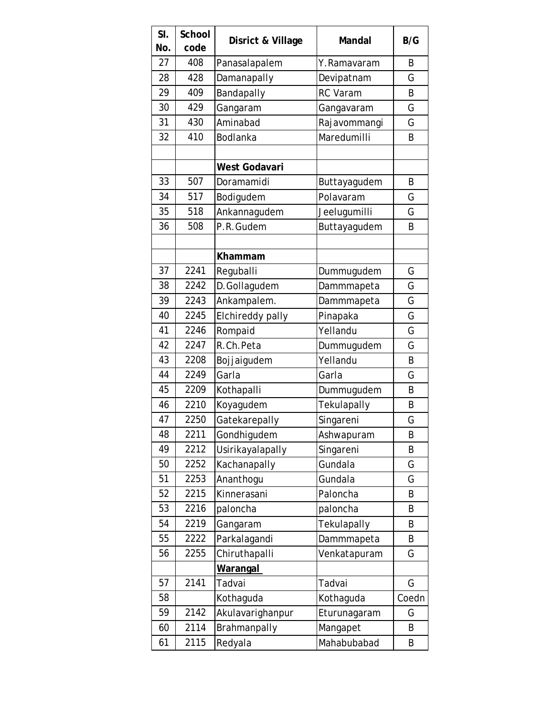| SI.<br>No. | School<br>code | Disrict & Village | <b>Mandal</b> | B/G   |
|------------|----------------|-------------------|---------------|-------|
| 27         | 408            | Panasalapalem     | Y.Ramavaram   | B     |
| 28         | 428            | Damanapally       | Devipatnam    | G     |
| 29         | 409            | Bandapally        | RC Varam      | B     |
| 30         | 429            | Gangaram          | Gangavaram    | G     |
| 31         | 430            | Aminabad          | Rajavommangi  | G     |
| 32         | 410            | Bodlanka          | Maredumilli   | B     |
|            |                |                   |               |       |
|            |                | West Godavari     |               |       |
| 33         | 507            | Doramamidi        | Buttayagudem  | B     |
| 34         | 517            | Bodigudem         | Polavaram     | G     |
| 35         | 518            | Ankannagudem      | Jeelugumilli  | G     |
| 36         | 508            | P.R.Gudem         | Buttayagudem  | B     |
|            |                |                   |               |       |
|            |                | Khammam           |               |       |
| 37         | 2241           | Reguballi         | Dummugudem    | G     |
| 38         | 2242           | D.Gollagudem      | Dammmapeta    | G     |
| 39         | 2243           | Ankampalem.       | Dammmapeta    | Ġ     |
| 40         | 2245           | Elchireddy pally  | Pinapaka      | G     |
| 41         | 2246           | Rompaid           | Yellandu      | G     |
| 42         | 2247           | R.Ch.Peta         | Dummugudem    | G     |
| 43         | 2208           | Bojjaigudem       | Yellandu      | B     |
| 44         | 2249           | Garla             | Garla         | G     |
| 45         | 2209           | Kothapalli        | Dummugudem    | B     |
| 46         | 2210           | Koyagudem         | Tekulapally   | B     |
| 47         | 2250           | Gatekarepally     | Singareni     | G     |
| 48         | 2211           | Gondhigudem       | Ashwapuram    | B     |
| 49         | 2212           | Usirikayalapally  | Singareni     | B     |
| 50         | 2252           | Kachanapally      | Gundala       | G     |
| 51         | 2253           | Ananthogu         | Gundala       | G     |
| 52         | 2215           | Kinnerasani       | Paloncha      | B     |
| 53         | 2216           | paloncha          | paloncha      | B     |
| 54         | 2219           | Gangaram          | Tekulapally   | B     |
| 55         | 2222           | Parkalagandi      | Dammmapeta    | B     |
| 56         | 2255           | Chiruthapalli     | Venkatapuram  | G     |
|            |                | Warangal          |               |       |
| 57         | 2141           | Tadvai            | Tadvai        | G     |
| 58         |                | Kothaguda         | Kothaguda     | Coedn |
| 59         | 2142           | Akulavarighanpur  | Eturunagaram  | G     |
| 60         | 2114           | Brahmanpally      | Mangapet      | B     |
| 61         | 2115           | Redyala           | Mahabubabad   | Β     |